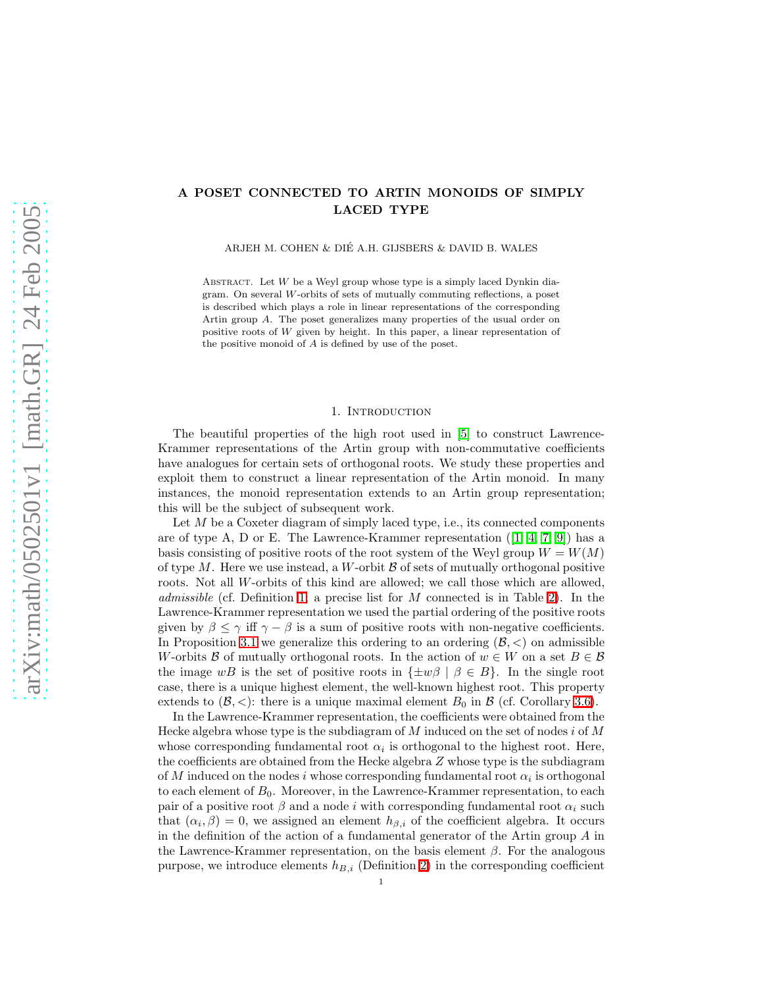## A POSET CONNECTED TO ARTIN MONOIDS OF SIMPLY LACED TYPE

ARJEH M. COHEN & DIE A.H. GIJSBERS & DAVID B. WALES ´

ABSTRACT. Let  $W$  be a Weyl group whose type is a simply laced Dynkin diagram. On several W-orbits of sets of mutually commuting reflections, a poset is described which plays a role in linear representations of the corresponding Artin group A. The poset generalizes many properties of the usual order on positive roots of W given by height. In this paper, a linear representation of the positive monoid of A is defined by use of the poset.

## 1. INTRODUCTION

The beautiful properties of the high root used in [\[5\]](#page-21-0) to construct Lawrence-Krammer representations of the Artin group with non-commutative coefficients have analogues for certain sets of orthogonal roots. We study these properties and exploit them to construct a linear representation of the Artin monoid. In many instances, the monoid representation extends to an Artin group representation; this will be the subject of subsequent work.

Let  $M$  be a Coxeter diagram of simply laced type, i.e., its connected components are of type A, D or E. The Lawrence-Krammer representation  $([1, 4, 7, 9])$  $([1, 4, 7, 9])$  $([1, 4, 7, 9])$  $([1, 4, 7, 9])$  $([1, 4, 7, 9])$  $([1, 4, 7, 9])$  $([1, 4, 7, 9])$  has a basis consisting of positive roots of the root system of the Weyl group  $W = W(M)$ of type  $M$ . Here we use instead, a  $W$ -orbit  $\beta$  of sets of mutually orthogonal positive roots. Not all W-orbits of this kind are allowed; we call those which are allowed, admissible (cf. Definition [1;](#page-2-0) a precise list for M connected is in Table [2\)](#page-5-0). In the Lawrence-Krammer representation we used the partial ordering of the positive roots given by  $\beta \leq \gamma$  iff  $\gamma - \beta$  is a sum of positive roots with non-negative coefficients. In Proposition [3.1](#page-6-0) we generalize this ordering to an ordering  $(\mathcal{B}, <)$  on admissible W-orbits B of mutually orthogonal roots. In the action of  $w \in W$  on a set  $B \in \mathcal{B}$ the image wB is the set of positive roots in  $\{\pm w\beta \mid \beta \in B\}$ . In the single root case, there is a unique highest element, the well-known highest root. This property extends to  $(\mathcal{B}, \langle \cdot \rangle)$ : there is a unique maximal element  $B_0$  in  $\mathcal{B}$  (cf. Corollary [3.6\)](#page-11-0).

In the Lawrence-Krammer representation, the coefficients were obtained from the Hecke algebra whose type is the subdiagram of  $M$  induced on the set of nodes i of  $M$ whose corresponding fundamental root  $\alpha_i$  is orthogonal to the highest root. Here, the coefficients are obtained from the Hecke algebra  $Z$  whose type is the subdiagram of M induced on the nodes i whose corresponding fundamental root  $\alpha_i$  is orthogonal to each element of  $B_0$ . Moreover, in the Lawrence-Krammer representation, to each pair of a positive root  $\beta$  and a node i with corresponding fundamental root  $\alpha_i$  such that  $(\alpha_i, \beta) = 0$ , we assigned an element  $h_{\beta,i}$  of the coefficient algebra. It occurs in the definition of the action of a fundamental generator of the Artin group  $A$  in the Lawrence-Krammer representation, on the basis element  $\beta$ . For the analogous purpose, we introduce elements  $h_{B,i}$  (Definition [2\)](#page-12-0) in the corresponding coefficient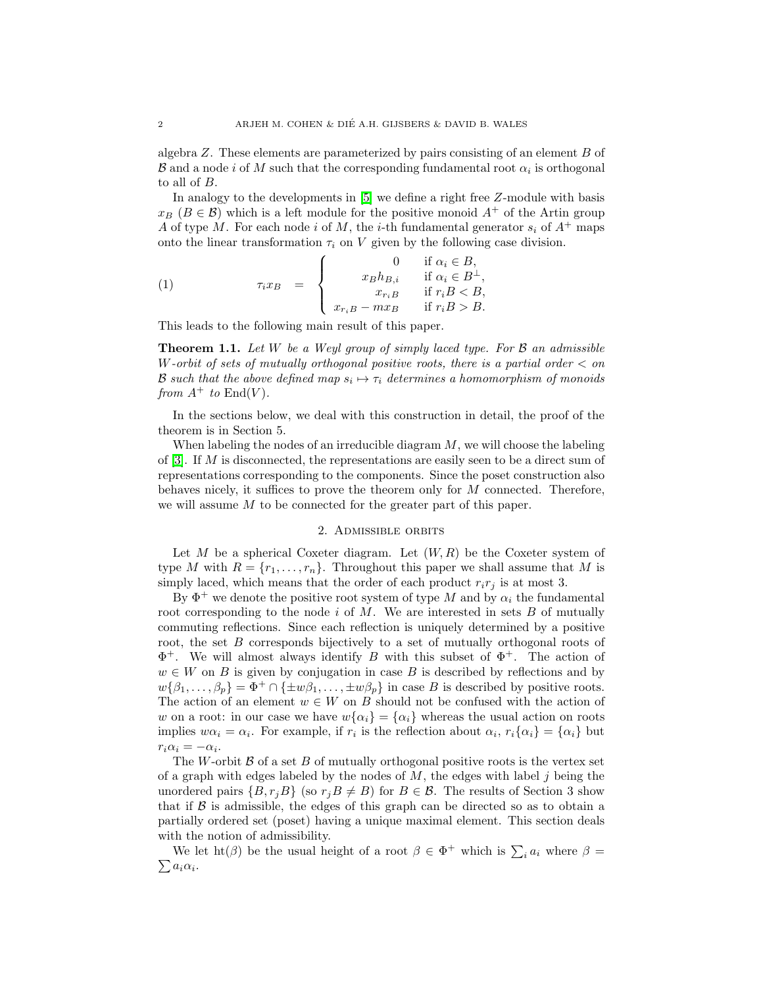algebra Z. These elements are parameterized by pairs consisting of an element B of  $\mathcal B$  and a node i of  $M$  such that the corresponding fundamental root  $\alpha_i$  is orthogonal to all of B.

In analogy to the developments in [\[5\]](#page-21-0) we define a right free Z-module with basis  $x_B$  ( $B \in \mathcal{B}$ ) which is a left module for the positive monoid  $A^+$  of the Artin group A of type M. For each node i of M, the i-th fundamental generator  $s_i$  of  $A^+$  maps onto the linear transformation  $\tau_i$  on V given by the following case division.

<span id="page-1-1"></span>(1) 
$$
\tau_i x_B = \begin{cases} 0 & \text{if } \alpha_i \in B, \\ x_B h_{B,i} & \text{if } \alpha_i \in B^{\perp}, \\ x_{r_i B} & \text{if } r_i B < B, \\ x_{r_i B} - m x_B & \text{if } r_i B > B. \end{cases}
$$

<span id="page-1-2"></span>This leads to the following main result of this paper.

**Theorem 1.1.** Let W be a Weyl group of simply laced type. For  $\beta$  an admissible W-orbit of sets of mutually orthogonal positive roots, there is a partial order  $\lt$  on **B** such that the above defined map  $s_i \mapsto \tau_i$  determines a homomorphism of monoids from  $A^+$  to  $\text{End}(V)$ .

In the sections below, we deal with this construction in detail, the proof of the theorem is in Section 5.

When labeling the nodes of an irreducible diagram  $M$ , we will choose the labeling of  $[3]$ . If M is disconnected, the representations are easily seen to be a direct sum of representations corresponding to the components. Since the poset construction also behaves nicely, it suffices to prove the theorem only for M connected. Therefore, we will assume M to be connected for the greater part of this paper.

### 2. Admissible orbits

Let M be a spherical Coxeter diagram. Let  $(W, R)$  be the Coxeter system of type M with  $R = \{r_1, \ldots, r_n\}$ . Throughout this paper we shall assume that M is simply laced, which means that the order of each product  $r_i r_j$  is at most 3.

By  $\Phi^+$  we denote the positive root system of type M and by  $\alpha_i$  the fundamental root corresponding to the node  $i$  of  $M$ . We are interested in sets  $B$  of mutually commuting reflections. Since each reflection is uniquely determined by a positive root, the set B corresponds bijectively to a set of mutually orthogonal roots of  $\Phi^+$ . We will almost always identify B with this subset of  $\Phi^+$ . The action of  $w \in W$  on B is given by conjugation in case B is described by reflections and by  $w{\beta_1,\ldots,\beta_p} = \Phi^+ \cap {\{\pm w\beta_1,\ldots,\pm w\beta_p}\}\$ in case B is described by positive roots. The action of an element  $w \in W$  on B should not be confused with the action of w on a root: in our case we have  $w{\alpha_i} = {\alpha_i}$  whereas the usual action on roots implies  $w\alpha_i = \alpha_i$ . For example, if  $r_i$  is the reflection about  $\alpha_i$ ,  $r_i\{\alpha_i\} = \{\alpha_i\}$  but  $r_i \alpha_i = -\alpha_i.$ 

The W-orbit  $\beta$  of a set B of mutually orthogonal positive roots is the vertex set of a graph with edges labeled by the nodes of  $M$ , the edges with label j being the unordered pairs  $\{B, r_jB\}$  (so  $r_jB \neq B$ ) for  $B \in \mathcal{B}$ . The results of Section 3 show that if  $\beta$  is admissible, the edges of this graph can be directed so as to obtain a partially ordered set (poset) having a unique maximal element. This section deals with the notion of admissibility.

<span id="page-1-0"></span>We let  $\text{ht}(\beta)$  be the usual height of a root  $\beta \in \Phi^+$  which is  $\sum_i a_i$  where  $\beta =$  $\sum a_i \alpha_i$ .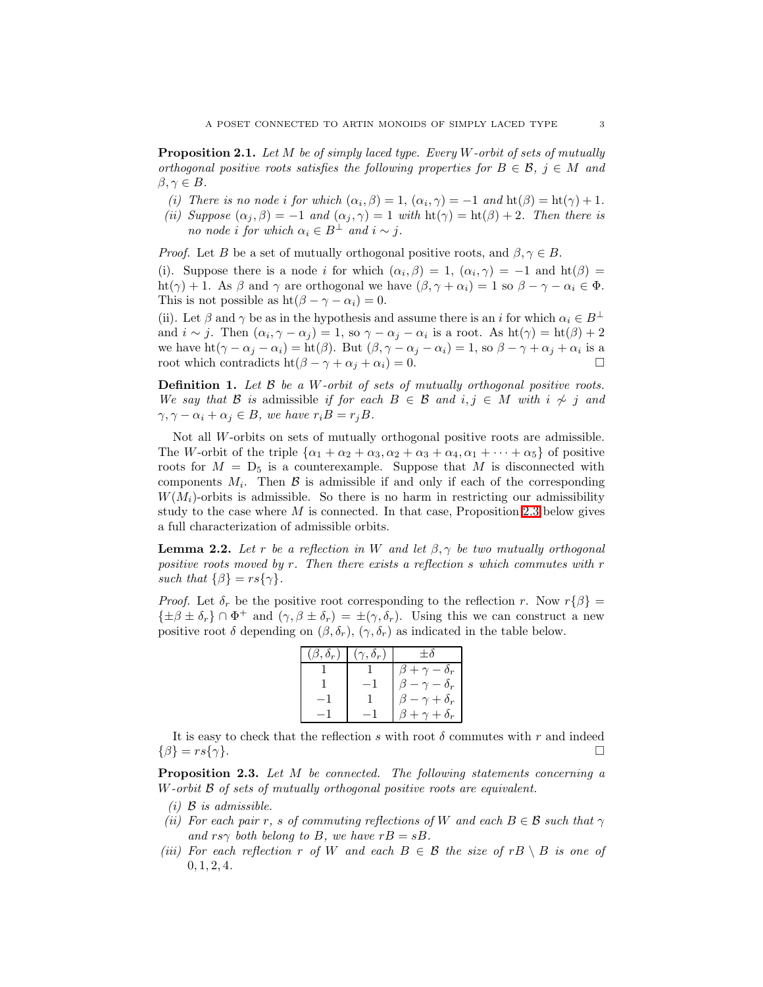**Proposition 2.1.** Let  $M$  be of simply laced type. Every  $W$ -orbit of sets of mutually orthogonal positive roots satisfies the following properties for  $B \in \mathcal{B}$ ,  $j \in M$  and  $\beta, \gamma \in B$ .

- (i) There is no node i for which  $(\alpha_i, \beta) = 1$ ,  $(\alpha_i, \gamma) = -1$  and  $\text{ht}(\beta) = \text{ht}(\gamma) + 1$ .
- (ii) Suppose  $(\alpha_j, \beta) = -1$  and  $(\alpha_j, \gamma) = 1$  with  $\text{ht}(\gamma) = \text{ht}(\beta) + 2$ . Then there is no node i for which  $\alpha_i \in B^{\perp}$  and  $i \sim j$ .

*Proof.* Let B be a set of mutually orthogonal positive roots, and  $\beta, \gamma \in B$ .

(i). Suppose there is a node i for which  $(\alpha_i, \beta) = 1$ ,  $(\alpha_i, \gamma) = -1$  and  $\text{ht}(\beta) =$ ht(γ) + 1. As  $\beta$  and γ are orthogonal we have  $(\beta, \gamma + \alpha_i) = 1$  so  $\beta - \gamma - \alpha_i \in \Phi$ . This is not possible as  $ht(\beta - \gamma - \alpha_i) = 0$ .

(ii). Let  $\beta$  and  $\gamma$  be as in the hypothesis and assume there is an i for which  $\alpha_i \in B^{\perp}$ and  $i \sim j$ . Then  $(\alpha_i, \gamma - \alpha_j) = 1$ , so  $\gamma - \alpha_j - \alpha_i$  is a root. As  $\text{ht}(\gamma) = \text{ht}(\beta) + 2$ we have  $\text{ht}(\gamma - \alpha_j - \alpha_i) = \text{ht}(\beta)$ . But  $(\beta, \gamma - \alpha_j - \alpha_i) = 1$ , so  $\beta - \gamma + \alpha_j + \alpha_i$  is a root which contradicts ht( $\beta - \gamma + \alpha_i + \alpha_i$ ) = 0.

<span id="page-2-0"></span>**Definition 1.** Let  $\beta$  be a W-orbit of sets of mutually orthogonal positive roots. We say that B is admissible if for each  $B \in \mathcal{B}$  and i, j ∈ M with i  $\not\sim j$  and  $\gamma, \gamma - \alpha_i + \alpha_j \in B$ , we have  $r_i B = r_j B$ .

Not all W-orbits on sets of mutually orthogonal positive roots are admissible. The W-orbit of the triple  $\{\alpha_1 + \alpha_2 + \alpha_3, \alpha_2 + \alpha_3 + \alpha_4, \alpha_1 + \cdots + \alpha_5\}$  of positive roots for  $M = D_5$  is a counterexample. Suppose that M is disconnected with components  $M_i$ . Then  $\beta$  is admissible if and only if each of the corresponding  $W(M_i)$ -orbits is admissible. So there is no harm in restricting our admissibility study to the case where  $M$  is connected. In that case, Proposition [2.3](#page-2-1) below gives a full characterization of admissible orbits.

<span id="page-2-2"></span>**Lemma 2.2.** Let r be a reflection in W and let  $\beta, \gamma$  be two mutually orthogonal positive roots moved by  $r$ . Then there exists a reflection  $s$  which commutes with  $r$ such that  $\{\beta\} = rs\{\gamma\}.$ 

*Proof.* Let  $\delta_r$  be the positive root corresponding to the reflection r. Now  $r\{\beta\} =$  $\{\pm\beta\pm\delta_r\}\cap\Phi^+$  and  $(\gamma,\beta\pm\delta_r)=\pm(\gamma,\delta_r)$ . Using this we can construct a new positive root  $\delta$  depending on  $(\beta, \delta_r)$ ,  $(\gamma, \delta_r)$  as indicated in the table below.

| $(\beta,\delta_r)$ | $(\gamma,\delta_r)$ | $+\delta$               |
|--------------------|---------------------|-------------------------|
|                    |                     | $\beta+\gamma-\delta_r$ |
|                    |                     | $\beta-\gamma-\delta_r$ |
| — 1                |                     | $\beta-\gamma+\delta_r$ |
|                    |                     | $+\gamma+\delta_r$      |

It is easy to check that the reflection s with root  $\delta$  commutes with r and indeed  $\{\beta\} = rs\{\gamma\}.$ 

<span id="page-2-1"></span>Proposition 2.3. Let M be connected. The following statements concerning a W-orbit  $\beta$  of sets of mutually orthogonal positive roots are equivalent.

- $(i)$  B is admissible.
- (ii) For each pair r, s of commuting reflections of W and each  $B \in \mathcal{B}$  such that  $\gamma$ and  $rs\gamma$  both belong to B, we have  $rB = sB$ .
- (iii) For each reflection r of W and each  $B \in \mathcal{B}$  the size of r $B \setminus B$  is one of  $0, 1, 2, 4.$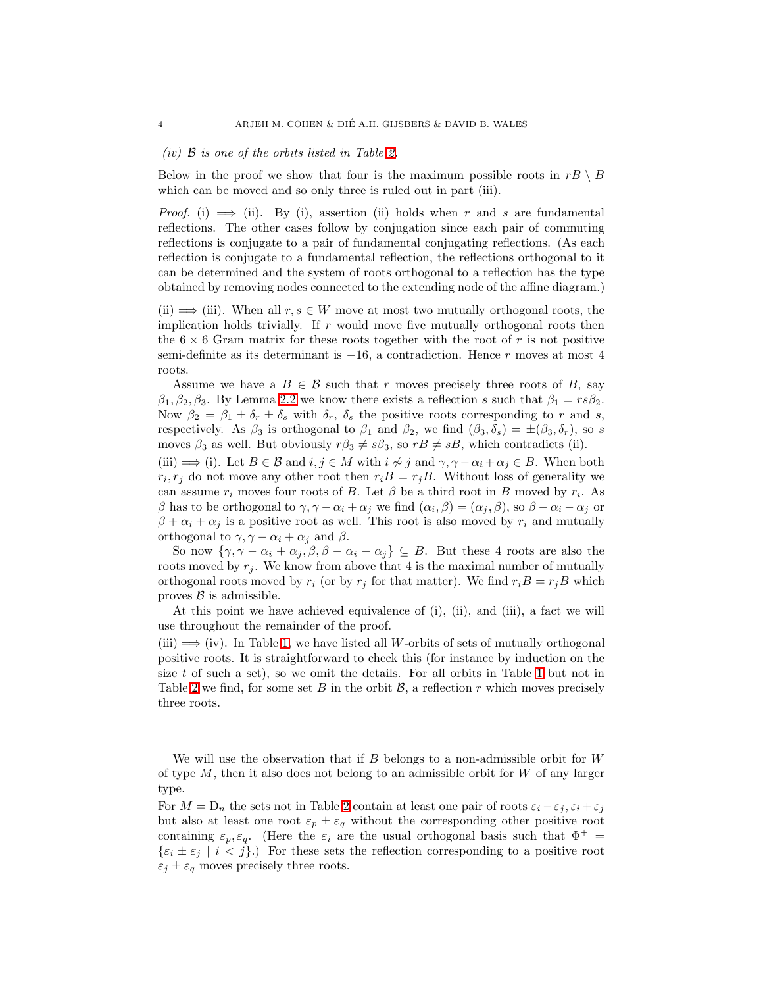### (iv) B is one of the orbits listed in Table [2.](#page-5-0)

Below in the proof we show that four is the maximum possible roots in  $rB \setminus B$ which can be moved and so only three is ruled out in part (iii).

*Proof.* (i)  $\implies$  (ii). By (i), assertion (ii) holds when r and s are fundamental reflections. The other cases follow by conjugation since each pair of commuting reflections is conjugate to a pair of fundamental conjugating reflections. (As each reflection is conjugate to a fundamental reflection, the reflections orthogonal to it can be determined and the system of roots orthogonal to a reflection has the type obtained by removing nodes connected to the extending node of the affine diagram.)

(ii)  $\implies$  (iii). When all  $r, s \in W$  move at most two mutually orthogonal roots, the implication holds trivially. If  $r$  would move five mutually orthogonal roots then the  $6 \times 6$  Gram matrix for these roots together with the root of r is not positive semi-definite as its determinant is  $-16$ , a contradiction. Hence r moves at most 4 roots.

Assume we have a  $B \in \mathcal{B}$  such that r moves precisely three roots of B, say  $\beta_1, \beta_2, \beta_3$ . By Lemma [2.2](#page-2-2) we know there exists a reflection s such that  $\beta_1 = rs\beta_2$ . Now  $\beta_2 = \beta_1 \pm \delta_r \pm \delta_s$  with  $\delta_r$ ,  $\delta_s$  the positive roots corresponding to r and s, respectively. As  $\beta_3$  is orthogonal to  $\beta_1$  and  $\beta_2$ , we find  $(\beta_3, \delta_s) = \pm (\beta_3, \delta_r)$ , so s moves  $\beta_3$  as well. But obviously  $r\beta_3 \neq s\beta_3$ , so  $rB \neq sB$ , which contradicts (ii).

(iii)  $\implies$  (i). Let  $B \in \mathcal{B}$  and  $i, j \in M$  with  $i \not\sim j$  and  $\gamma, \gamma - \alpha_i + \alpha_j \in B$ . When both  $r_i, r_j$  do not move any other root then  $r_i B = r_j B$ . Without loss of generality we can assume  $r_i$  moves four roots of B. Let  $\beta$  be a third root in B moved by  $r_i$ . As β has to be orthogonal to  $\gamma, \gamma - \alpha_i + \alpha_j$  we find  $(\alpha_i, \beta) = (\alpha_j, \beta)$ , so  $\beta - \alpha_i - \alpha_j$  or  $\beta + \alpha_i + \alpha_j$  is a positive root as well. This root is also moved by  $r_i$  and mutually orthogonal to  $\gamma, \gamma - \alpha_i + \alpha_j$  and  $\beta$ .

So now  $\{\gamma, \gamma - \alpha_i + \alpha_j, \beta, \beta - \alpha_i - \alpha_j\} \subseteq B$ . But these 4 roots are also the roots moved by  $r_j$ . We know from above that 4 is the maximal number of mutually orthogonal roots moved by  $r_i$  (or by  $r_j$  for that matter). We find  $r_iB = r_jB$  which proves  $\beta$  is admissible.

At this point we have achieved equivalence of (i), (ii), and (iii), a fact we will use throughout the remainder of the proof.

(iii)  $\implies$  (iv). In Table [1,](#page-4-0) we have listed all W-orbits of sets of mutually orthogonal positive roots. It is straightforward to check this (for instance by induction on the size  $t$  of such a set), so we omit the details. For all orbits in Table [1](#page-4-0) but not in Table [2](#page-5-0) we find, for some set B in the orbit  $\mathcal{B}$ , a reflection r which moves precisely three roots.

We will use the observation that if  $B$  belongs to a non-admissible orbit for  $W$ of type  $M$ , then it also does not belong to an admissible orbit for  $W$  of any larger type.

For  $M = D_n$  the sets not in Table [2](#page-5-0) contain at least one pair of roots  $\varepsilon_i - \varepsilon_j$ ,  $\varepsilon_i + \varepsilon_j$ but also at least one root  $\varepsilon_p \pm \varepsilon_q$  without the corresponding other positive root containing  $\varepsilon_p, \varepsilon_q$ . (Here the  $\varepsilon_i$  are the usual orthogonal basis such that  $\Phi^+$  =  $\{\varepsilon_i \pm \varepsilon_j \mid i < j\}$ .) For these sets the reflection corresponding to a positive root  $\varepsilon_j \pm \varepsilon_q$  moves precisely three roots.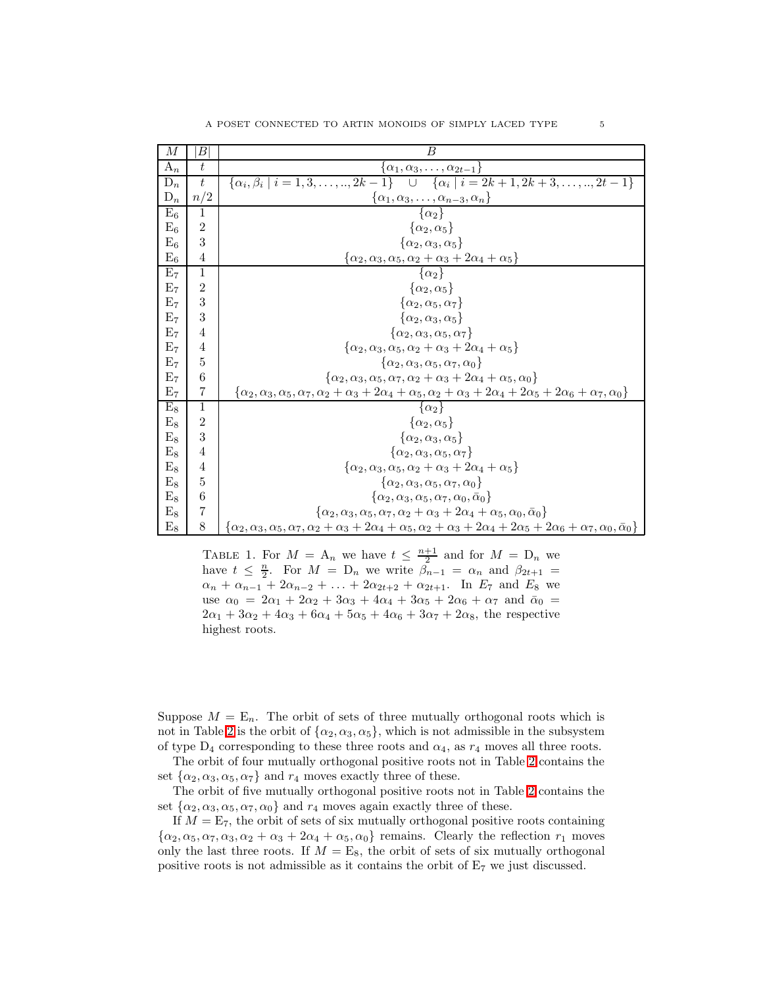| М              | В              | B                                                                                                                                                                                      |
|----------------|----------------|----------------------------------------------------------------------------------------------------------------------------------------------------------------------------------------|
| $A_n$          | t              | $\alpha_1, \alpha_3, \ldots, \alpha_{2t-1}$                                                                                                                                            |
| $D_n$          | $t\,$          | $\{\alpha_i, \beta_i \mid i = 1, 3, \ldots, n, 2k-1\}$ $\cup$ $\overline{\{\alpha_i \mid i = 2k+1, 2k+3, \ldots, n, 2t-1\}}$                                                           |
| $\mathbf{D}_n$ | n/2            | $\{\alpha_1,\alpha_3,\ldots,\alpha_{n-3},\alpha_n\}$<br>$\{\alpha_2\}$                                                                                                                 |
| $E_6$          | $\mathbf{1}$   |                                                                                                                                                                                        |
| $E_6$          | 2              | $\{\alpha_2,\alpha_5\}$                                                                                                                                                                |
| $E_6$          | 3              | $\{\alpha_2,\alpha_3,\alpha_5\}$                                                                                                                                                       |
| $\mathrm{E}_6$ | 4              | $\{\alpha_2, \alpha_3, \alpha_5, \alpha_2 + \alpha_3 + 2\alpha_4 + \alpha_5\}$                                                                                                         |
| $\mathrm{E}_7$ | 1              | $\{\alpha_2\}$                                                                                                                                                                         |
| E <sub>7</sub> | $\overline{2}$ | $\{\alpha_2,\alpha_5\}$                                                                                                                                                                |
| $\mathrm{E}_7$ | 3              | $\{\alpha_2,\alpha_5,\alpha_7\}$                                                                                                                                                       |
| $\mathrm{E}_7$ | 3              | $\{\alpha_2,\alpha_3,\alpha_5\}$                                                                                                                                                       |
| $\mathrm{E}_7$ | 4              | $\{\alpha_2, \alpha_3, \alpha_5, \alpha_7\}$                                                                                                                                           |
| E <sub>7</sub> | 4              | $\{\alpha_2, \alpha_3, \alpha_5, \alpha_2 + \alpha_3 + 2\alpha_4 + \alpha_5\}$                                                                                                         |
| $\mathrm{E}_7$ | 5              | $\{\alpha_2, \alpha_3, \alpha_5, \alpha_7, \alpha_0\}$                                                                                                                                 |
| $\mathrm{E}_7$ | 6              | $\{\alpha_2, \alpha_3, \alpha_5, \alpha_7, \alpha_2 + \alpha_3 + 2\alpha_4 + \alpha_5, \alpha_0\}$                                                                                     |
| $\mathrm{E}_7$ | 7              | $\{\alpha_2, \alpha_3, \alpha_5, \alpha_7, \alpha_2+\alpha_3+2\alpha_4+\alpha_5, \alpha_2+\alpha_3+2\alpha_4+2\alpha_5+2\alpha_6+\alpha_7, \alpha_0\}$                                 |
| $E_8$          | $\mathbf{1}$   | $\{\alpha_2\}$                                                                                                                                                                         |
| $E_8$          | $\overline{2}$ | $\{\alpha_2,\alpha_5\}$                                                                                                                                                                |
| $E_8$          | 3              | $\{\alpha_2,\alpha_3,\alpha_5\}$                                                                                                                                                       |
| $E_8$          | 4              | $\{\alpha_2,\alpha_3,\alpha_5,\alpha_7\}$                                                                                                                                              |
| $E_8$          | 4              | $\{\alpha_2, \alpha_3, \alpha_5, \alpha_2 + \alpha_3 + 2\alpha_4 + \alpha_5\}$                                                                                                         |
| $E_8$          | 5              | $\{\alpha_2,\alpha_3,\alpha_5,\alpha_7,\alpha_0\}$                                                                                                                                     |
| $E_8$          | 6              | $\{\alpha_2,\alpha_3,\alpha_5,\alpha_7,\alpha_0,\bar{\alpha}_0\}$                                                                                                                      |
| $E_8$          | 7              | $\{\alpha_2,\alpha_3,\alpha_5,\alpha_7,\alpha_2+\alpha_3+2\alpha_4+\alpha_5,\alpha_0,\bar{\alpha}_0\}$                                                                                 |
| $E_8$          | 8              | { $\alpha_2, \alpha_3, \alpha_5, \alpha_7, \alpha_2 + \alpha_3 + 2\alpha_4 + \alpha_5, \alpha_2 + \alpha_3 + 2\alpha_4 + 2\alpha_5 + 2\alpha_6 + \alpha_7, \alpha_0, \bar{\alpha}_0$ } |

<span id="page-4-0"></span>TABLE 1. For  $M = A_n$  we have  $t \leq \frac{n+1}{2}$  and for  $M = D_n$  we have  $t \leq \frac{n}{2}$ . For  $M = D_n$  we write  $\tilde{\beta}_{n-1} = \alpha_n$  and  $\beta_{2t+1} =$  $\alpha_n + \alpha_{n-1} + 2\alpha_{n-2} + \ldots + 2\alpha_{2t+2} + \alpha_{2t+1}$ . In  $E_7$  and  $E_8$  we use  $\alpha_0 = 2\alpha_1 + 2\alpha_2 + 3\alpha_3 + 4\alpha_4 + 3\alpha_5 + 2\alpha_6 + \alpha_7$  and  $\bar{\alpha}_0 =$  $2\alpha_1 + 3\alpha_2 + 4\alpha_3 + 6\alpha_4 + 5\alpha_5 + 4\alpha_6 + 3\alpha_7 + 2\alpha_8$ , the respective highest roots.

Suppose  $M = \mathbb{E}_n$ . The orbit of sets of three mutually orthogonal roots which is not in Table [2](#page-5-0) is the orbit of  $\{\alpha_2, \alpha_3, \alpha_5\}$ , which is not admissible in the subsystem of type  $D_4$  corresponding to these three roots and  $\alpha_4$ , as  $r_4$  moves all three roots.

The orbit of four mutually orthogonal positive roots not in Table [2](#page-5-0) contains the set  $\{\alpha_2, \alpha_3, \alpha_5, \alpha_7\}$  and  $r_4$  moves exactly three of these.

The orbit of five mutually orthogonal positive roots not in Table [2](#page-5-0) contains the set  $\{\alpha_2, \alpha_3, \alpha_5, \alpha_7, \alpha_0\}$  and  $r_4$  moves again exactly three of these.

If  $M = E_7$ , the orbit of sets of six mutually orthogonal positive roots containing  $\{\alpha_2, \alpha_5, \alpha_7, \alpha_3, \alpha_2 + \alpha_3 + 2\alpha_4 + \alpha_5, \alpha_0\}$  remains. Clearly the reflection  $r_1$  moves only the last three roots. If  $M = E_8$ , the orbit of sets of six mutually orthogonal positive roots is not admissible as it contains the orbit of E<sup>7</sup> we just discussed.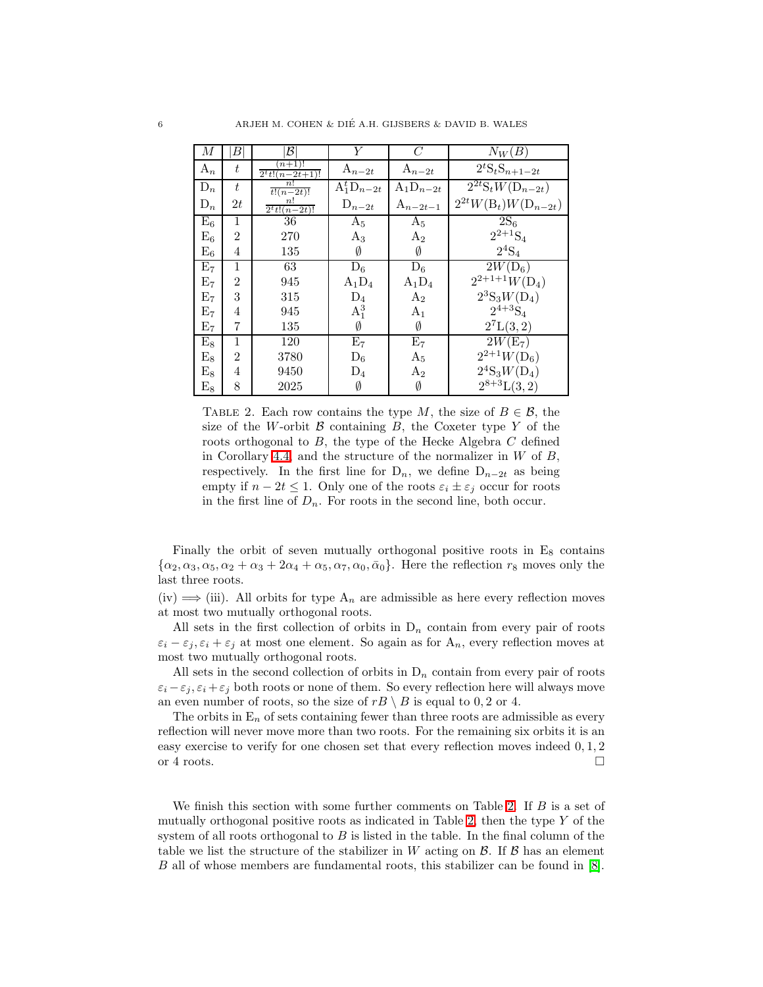| $\overline{M}$ | В              | B                              | Y               | C              | $N_W(B)$                                              |
|----------------|----------------|--------------------------------|-----------------|----------------|-------------------------------------------------------|
| $A_n$          | t              | $(n+1)!$<br>$2^{t}t!(n-2t+1)!$ | $A_{n-2t}$      | $A_{n-2t}$     | $2^t\mathbf{S}_t\mathbf{S}_{n+1-2t}$                  |
| $D_n$          | t              | n!<br>$t!(n-2t)!$              | $A_1^tD_{n-2t}$ | $A_1D_{n-2t}$  | $\overline{2^{2t}}\mathrm{S}_{t}W(\mathrm{D}_{n-2t})$ |
| $D_n$          | 2t             | n!<br>$2^{t}t!(n-2t)!$         | $D_{n-2t}$      | $A_{n-2t-1}$   | $2^{2t}W(B_t)W(D_{n-2t})$                             |
| $E_6$          | 1              | 36                             | $A_5$           | $A_5$          | $\overline{2}S_6$                                     |
| $E_6$          | $\overline{2}$ | 270                            | $A_3$           | $A_2$          | $2^{2+1}S_4$                                          |
| $E_6$          | 4              | 135                            | Ø               | Ø              | $2^4S_4$                                              |
| $E_7$          | 1              | 63                             | $D_6$           | $D_6$          | $2W(D_6)$                                             |
| $E_7$          | $\overline{2}$ | 945                            | $A_1D_4$        | $\rm A_1D_4$   | $2^{2+1+1}W(D_4)$                                     |
| $E_7$          | 3              | 315                            | $D_4$           | A <sub>2</sub> | $2^3S_3W(D_4)$                                        |
| E <sub>7</sub> | 4              | 945                            | $A_1^3$         | $A_{1}$        | $2^{4+3}S_4$                                          |
| E <sub>7</sub> | 7              | 135                            | Ø               | Ø              | $2^7L(3,2)$                                           |
| $E_8$          | 1              | 120                            | E <sub>7</sub>  | E <sub>7</sub> | $2W(E_7)$                                             |
| $E_8$          | 2              | 3780                           | $D_6$           | $A_5$          | $2^{2+1}W(D_6)$                                       |
| $E_8$          | 4              | 9450                           | $D_4$           | $A_2$          | $2^4\mathrm{S}_3 W(\mathrm{D}_4)$                     |
| $\mathrm{E}_8$ | 8              | 2025                           | Ø               | Ø              | $2^{8+3}L(3,2)$                                       |

<span id="page-5-0"></span>TABLE 2. Each row contains the type M, the size of  $B \in \mathcal{B}$ , the size of the W-orbit  $\beta$  containing  $B$ , the Coxeter type Y of the roots orthogonal to B, the type of the Hecke Algebra C defined in Corollary [4.4,](#page-16-0) and the structure of the normalizer in  $W$  of  $B$ , respectively. In the first line for  $D_n$ , we define  $D_{n-2t}$  as being empty if  $n - 2t \leq 1$ . Only one of the roots  $\varepsilon_i \pm \varepsilon_j$  occur for roots in the first line of  $D_n$ . For roots in the second line, both occur.

Finally the orbit of seven mutually orthogonal positive roots in  $E_8$  contains  $\{\alpha_2, \alpha_3, \alpha_5, \alpha_2 + \alpha_3 + 2\alpha_4 + \alpha_5, \alpha_7, \alpha_0, \bar{\alpha}_0\}.$  Here the reflection  $r_8$  moves only the last three roots.

(iv)  $\implies$  (iii). All orbits for type  $A_n$  are admissible as here every reflection moves at most two mutually orthogonal roots.

All sets in the first collection of orbits in  $D_n$  contain from every pair of roots  $\varepsilon_i - \varepsilon_j, \varepsilon_i + \varepsilon_j$  at most one element. So again as for  $A_n$ , every reflection moves at most two mutually orthogonal roots.

All sets in the second collection of orbits in  $D_n$  contain from every pair of roots  $\varepsilon_i - \varepsilon_j, \varepsilon_i + \varepsilon_j$  both roots or none of them. So every reflection here will always move an even number of roots, so the size of  $rB \setminus B$  is equal to 0, 2 or 4.

The orbits in  $E_n$  of sets containing fewer than three roots are admissible as every reflection will never move more than two roots. For the remaining six orbits it is an easy exercise to verify for one chosen set that every reflection moves indeed 0, 1, 2 or 4 roots.  $\Box$ 

We finish this section with some further comments on Table [2.](#page-5-0) If  $B$  is a set of mutually orthogonal positive roots as indicated in Table [2,](#page-5-0) then the type  $Y$  of the system of all roots orthogonal to  $B$  is listed in the table. In the final column of the table we list the structure of the stabilizer in W acting on  $\mathcal{B}$ . If  $\mathcal{B}$  has an element B all of whose members are fundamental roots, this stabilizer can be found in [\[8\]](#page-21-6).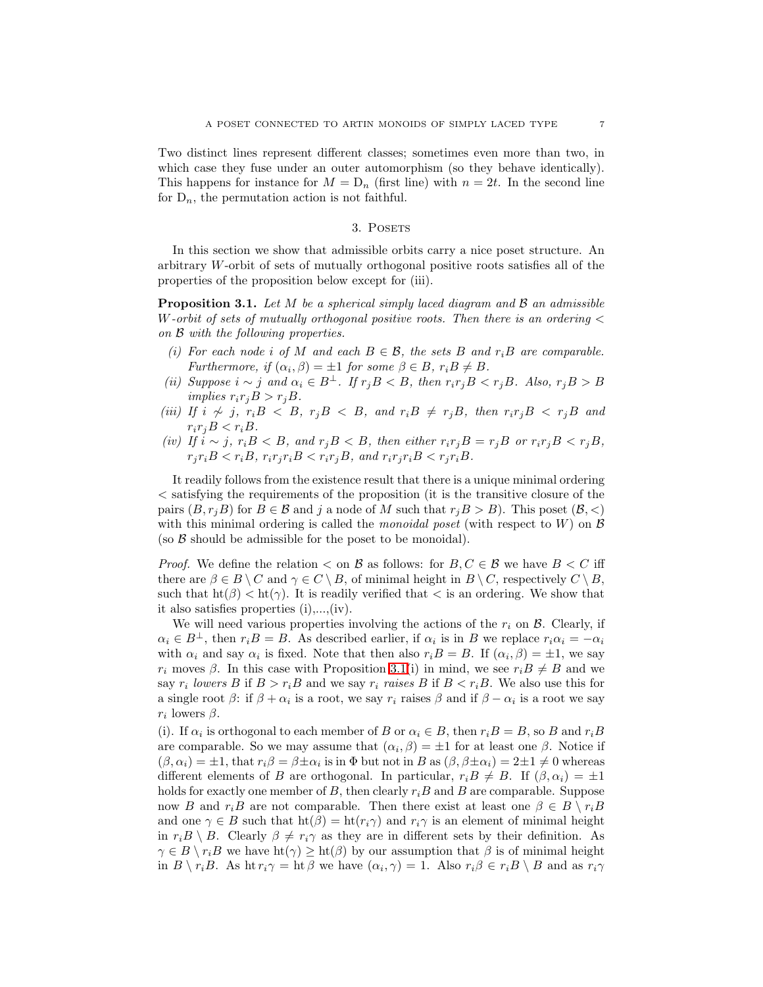Two distinct lines represent different classes; sometimes even more than two, in which case they fuse under an outer automorphism (so they behave identically). This happens for instance for  $M = D_n$  (first line) with  $n = 2t$ . In the second line for  $D_n$ , the permutation action is not faithful.

## 3. POSETS

In this section we show that admissible orbits carry a nice poset structure. An arbitrary W-orbit of sets of mutually orthogonal positive roots satisfies all of the properties of the proposition below except for (iii).

<span id="page-6-0"></span>**Proposition 3.1.** Let M be a spherical simply laced diagram and  $\beta$  an admissible W-orbit of sets of mutually orthogonal positive roots. Then there is an ordering  $\lt$ on B with the following properties.

- (i) For each node i of M and each  $B \in \mathcal{B}$ , the sets B and r<sub>i</sub>B are comparable. Furthermore, if  $(\alpha_i, \beta) = \pm 1$  for some  $\beta \in B$ ,  $r_i B \neq B$ .
- (ii) Suppose  $i \sim j$  and  $\alpha_i \in B^{\perp}$ . If  $r_j B < B$ , then  $r_i r_j B < r_j B$ . Also,  $r_j B > B$ implies  $r_i r_j B > r_j B$ .
- (iii) If  $i \nsim j$ ,  $r_i B \nless B$ ,  $r_j B \nless B$ , and  $r_i B \nless r_j B$ , then  $r_i r_j B \nless r_j B$  and  $r_i r_j B < r_i B$ .
- (iv) If  $i \sim j$ ,  $r_i B < B$ , and  $r_j B < B$ , then either  $r_i r_j B = r_j B$  or  $r_i r_j B < r_j B$ ,  $r_i r_i B < r_i B$ ,  $r_i r_j r_i B < r_i r_j B$ , and  $r_i r_j r_i B < r_j r_i B$ .

It readily follows from the existence result that there is a unique minimal ordering < satisfying the requirements of the proposition (it is the transitive closure of the pairs  $(B, r_iB)$  for  $B \in \mathcal{B}$  and j a node of M such that  $r_iB > B$ ). This poset  $(\mathcal{B}, \langle \rangle)$ with this minimal ordering is called the *monoidal poset* (with respect to  $W$ ) on  $\beta$ (so  $\beta$  should be admissible for the poset to be monoidal).

*Proof.* We define the relation  $\lt$  on  $\mathcal B$  as follows: for  $B, C \in \mathcal B$  we have  $B \lt C$  iff there are  $\beta \in B \setminus C$  and  $\gamma \in C \setminus B$ , of minimal height in  $B \setminus C$ , respectively  $C \setminus B$ , such that  $ht(\beta) < ht(\gamma)$ . It is readily verified that  $\lt$  is an ordering. We show that it also satisfies properties (i),...,(iv).

We will need various properties involving the actions of the  $r_i$  on  $\beta$ . Clearly, if  $\alpha_i \in B^{\perp}$ , then  $r_i B = B$ . As described earlier, if  $\alpha_i$  is in B we replace  $r_i \alpha_i = -\alpha_i$ with  $\alpha_i$  and say  $\alpha_i$  is fixed. Note that then also  $r_i B = B$ . If  $(\alpha_i, \beta) = \pm 1$ , we say  $r_i$  moves  $\beta$ . In this case with Proposition [3.1\(](#page-6-0)i) in mind, we see  $r_i B \neq B$  and we say  $r_i$  lowers B if  $B > r_iB$  and we say  $r_i$  raises B if  $B < r_iB$ . We also use this for a single root  $\beta$ : if  $\beta + \alpha_i$  is a root, we say  $r_i$  raises  $\beta$  and if  $\beta - \alpha_i$  is a root we say  $r_i$  lowers  $\beta$ .

(i). If  $\alpha_i$  is orthogonal to each member of B or  $\alpha_i \in B$ , then  $r_i B = B$ , so B and  $r_i B$ are comparable. So we may assume that  $(\alpha_i, \beta) = \pm 1$  for at least one  $\beta$ . Notice if  $(\beta, \alpha_i) = \pm 1$ , that  $r_i \beta = \beta \pm \alpha_i$  is in  $\Phi$  but not in B as  $(\beta, \beta \pm \alpha_i) = 2 \pm 1 \neq 0$  whereas different elements of B are orthogonal. In particular,  $r_i B \neq B$ . If  $(\beta, \alpha_i) = \pm 1$ holds for exactly one member of B, then clearly  $r_iB$  and B are comparable. Suppose now B and  $r_iB$  are not comparable. Then there exist at least one  $\beta \in B \setminus r_iB$ and one  $\gamma \in B$  such that  $\text{ht}(\beta) = \text{ht}(r_i\gamma)$  and  $r_i\gamma$  is an element of minimal height in  $r_iB \setminus B$ . Clearly  $\beta \neq r_i\gamma$  as they are in different sets by their definition. As  $\gamma \in B \setminus r_iB$  we have  $\text{ht}(\gamma) \geq \text{ht}(\beta)$  by our assumption that  $\beta$  is of minimal height in  $B \setminus r_iB$ . As ht  $r_i\gamma = \hbar \beta$  we have  $(\alpha_i, \gamma) = 1$ . Also  $r_i\beta \in r_iB \setminus B$  and as  $r_i\gamma$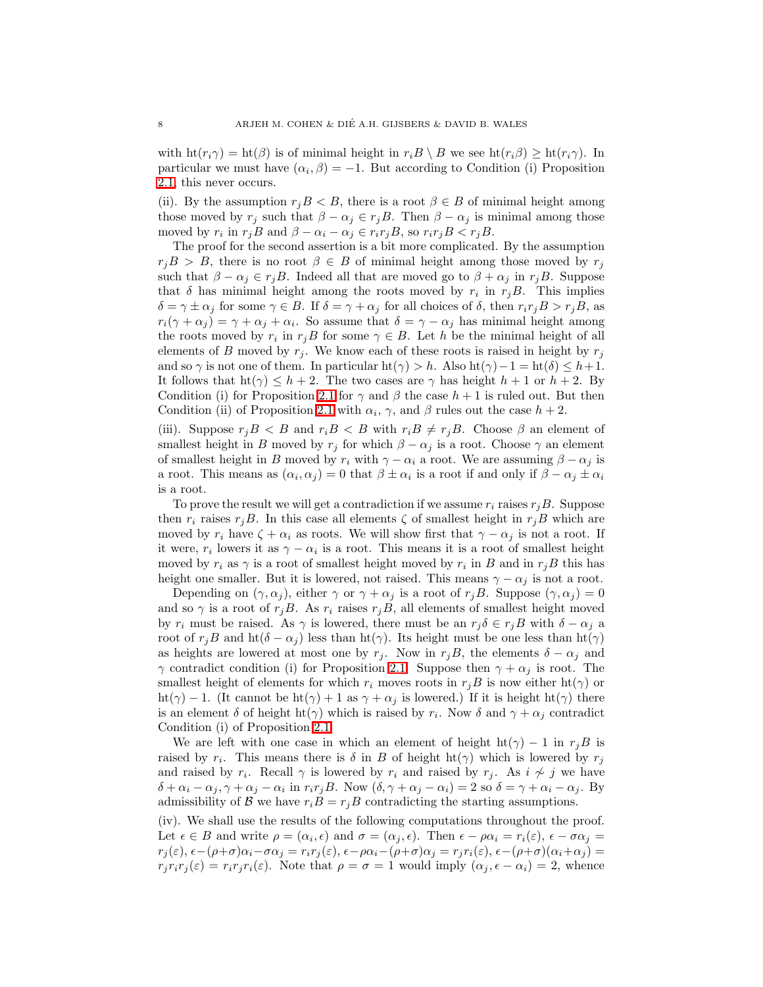with  $\text{ht}(r_i\gamma) = \text{ht}(\beta)$  is of minimal height in  $r_iB \setminus B$  we see  $\text{ht}(r_i\beta) \geq \text{ht}(r_i\gamma)$ . In particular we must have  $(\alpha_i, \beta) = -1$ . But according to Condition (i) Proposition [2.1,](#page-1-0) this never occurs.

(ii). By the assumption  $r_jB < B$ , there is a root  $\beta \in B$  of minimal height among those moved by  $r_j$  such that  $\beta - \alpha_j \in r_j B$ . Then  $\beta - \alpha_j$  is minimal among those moved by  $r_i$  in  $r_jB$  and  $\beta - \alpha_i - \alpha_j \in r_i r_jB$ , so  $r_i r_jB < r_jB$ .

The proof for the second assertion is a bit more complicated. By the assumption  $r_iB > B$ , there is no root  $\beta \in B$  of minimal height among those moved by  $r_i$ such that  $\beta - \alpha_j \in r_j B$ . Indeed all that are moved go to  $\beta + \alpha_j$  in  $r_j B$ . Suppose that  $\delta$  has minimal height among the roots moved by  $r_i$  in  $r_jB$ . This implies  $\delta = \gamma \pm \alpha_j$  for some  $\gamma \in B$ . If  $\delta = \gamma + \alpha_j$  for all choices of  $\delta$ , then  $r_i r_j B > r_j B$ , as  $r_i(\gamma + \alpha_j) = \gamma + \alpha_j + \alpha_i$ . So assume that  $\delta = \gamma - \alpha_j$  has minimal height among the roots moved by  $r_i$  in  $r_jB$  for some  $\gamma \in B$ . Let h be the minimal height of all elements of B moved by  $r_i$ . We know each of these roots is raised in height by  $r_j$ and so  $\gamma$  is not one of them. In particular ht( $\gamma$ ) > h. Also ht( $\gamma$ ) - 1 = ht( $\delta$ ) ≤ h+1. It follows that  $h(\gamma) \leq h+2$ . The two cases are  $\gamma$  has height  $h+1$  or  $h+2$ . By Condition (i) for Proposition [2.1](#page-1-0) for  $\gamma$  and  $\beta$  the case  $h+1$  is ruled out. But then Condition (ii) of Proposition [2.1](#page-1-0) with  $\alpha_i$ ,  $\gamma$ , and  $\beta$  rules out the case  $h + 2$ .

(iii). Suppose  $r_jB < B$  and  $r_iB < B$  with  $r_iB \neq r_jB$ . Choose  $\beta$  an element of smallest height in B moved by  $r_j$  for which  $\beta - \alpha_j$  is a root. Choose  $\gamma$  an element of smallest height in B moved by  $r_i$  with  $\gamma - \alpha_i$  a root. We are assuming  $\beta - \alpha_j$  is a root. This means as  $(\alpha_i, \alpha_j) = 0$  that  $\beta \pm \alpha_i$  is a root if and only if  $\beta - \alpha_j \pm \alpha_i$ is a root.

To prove the result we will get a contradiction if we assume  $r_i$  raises  $r_jB$ . Suppose then  $r_i$  raises  $r_jB$ . In this case all elements  $\zeta$  of smallest height in  $r_jB$  which are moved by  $r_i$  have  $\zeta + \alpha_i$  as roots. We will show first that  $\gamma - \alpha_j$  is not a root. If it were,  $r_i$  lowers it as  $\gamma - \alpha_i$  is a root. This means it is a root of smallest height moved by  $r_i$  as  $\gamma$  is a root of smallest height moved by  $r_i$  in B and in  $r_jB$  this has height one smaller. But it is lowered, not raised. This means  $\gamma - \alpha_j$  is not a root.

Depending on  $(\gamma, \alpha_j)$ , either  $\gamma$  or  $\gamma + \alpha_j$  is a root of  $r_jB$ . Suppose  $(\gamma, \alpha_j) = 0$ and so  $\gamma$  is a root of  $r_jB$ . As  $r_i$  raises  $r_jB$ , all elements of smallest height moved by  $r_i$  must be raised. As  $\gamma$  is lowered, there must be an  $r_j \delta \in r_j B$  with  $\delta - \alpha_j$  a root of  $r_jB$  and  $\text{ht}(\delta - \alpha_j)$  less than  $\text{ht}(\gamma)$ . Its height must be one less than  $\text{ht}(\gamma)$ as heights are lowered at most one by  $r_i$ . Now in  $r_iB$ , the elements  $\delta - \alpha_i$  and  $\gamma$  contradict condition (i) for Proposition [2.1.](#page-1-0) Suppose then  $\gamma + \alpha_j$  is root. The smallest height of elements for which  $r_i$  moves roots in  $r_jB$  is now either ht( $\gamma$ ) or ht(γ) – 1. (It cannot be ht(γ) + 1 as  $\gamma + \alpha_j$  is lowered.) If it is height ht(γ) there is an element  $\delta$  of height  $\text{ht}(\gamma)$  which is raised by  $r_i$ . Now  $\delta$  and  $\gamma + \alpha_j$  contradict Condition (i) of Proposition [2.1.](#page-1-0)

We are left with one case in which an element of height  $\text{ht}(\gamma) - 1$  in  $r_jB$  is raised by  $r_i$ . This means there is  $\delta$  in  $B$  of height  $\text{ht}(\gamma)$  which is lowered by  $r_j$ and raised by  $r_i$ . Recall  $\gamma$  is lowered by  $r_i$  and raised by  $r_j$ . As  $i \nsim j$  we have  $\delta + \alpha_i - \alpha_j, \gamma + \alpha_j - \alpha_i$  in  $r_i r_j B$ . Now  $(\delta, \gamma + \alpha_j - \alpha_i) = 2$  so  $\delta = \gamma + \alpha_i - \alpha_j$ . By admissibility of B we have  $r_iB = r_jB$  contradicting the starting assumptions.

(iv). We shall use the results of the following computations throughout the proof. Let  $\epsilon \in B$  and write  $\rho = (\alpha_i, \epsilon)$  and  $\sigma = (\alpha_j, \epsilon)$ . Then  $\epsilon - \rho \alpha_i = r_i(\epsilon)$ ,  $\epsilon - \sigma \alpha_j =$  $r_j(\varepsilon), \epsilon - (\rho + \sigma)\alpha_i - \sigma\alpha_j = r_i r_j(\varepsilon), \epsilon - \rho\alpha_i - (\rho + \sigma)\alpha_j = r_i r_i(\varepsilon), \epsilon - (\rho + \sigma)(\alpha_i + \alpha_j) =$  $r_j r_i r_j(\varepsilon) = r_i r_j r_i(\varepsilon)$ . Note that  $\rho = \sigma = 1$  would imply  $(\alpha_j, \varepsilon - \alpha_i) = 2$ , whence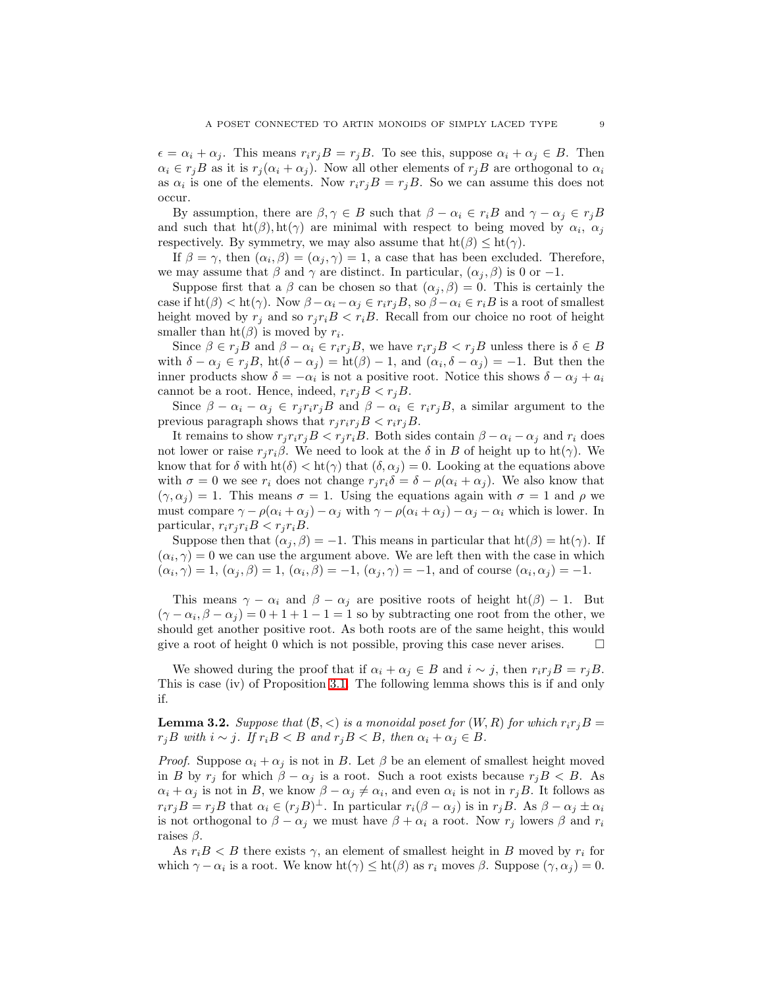$\epsilon = \alpha_i + \alpha_j$ . This means  $r_i r_j B = r_j B$ . To see this, suppose  $\alpha_i + \alpha_j \in B$ . Then  $\alpha_i \in r_j B$  as it is  $r_j(\alpha_i + \alpha_j)$ . Now all other elements of  $r_j B$  are orthogonal to  $\alpha_i$ as  $\alpha_i$  is one of the elements. Now  $r_i r_j B = r_j B$ . So we can assume this does not occur.

By assumption, there are  $\beta, \gamma \in B$  such that  $\beta - \alpha_i \in r_iB$  and  $\gamma - \alpha_i \in r_iB$ and such that  $\text{ht}(\beta), \text{ht}(\gamma)$  are minimal with respect to being moved by  $\alpha_i, \alpha_j$ respectively. By symmetry, we may also assume that  $\text{ht}(\beta) \leq \text{ht}(\gamma)$ .

If  $\beta = \gamma$ , then  $(\alpha_i, \beta) = (\alpha_j, \gamma) = 1$ , a case that has been excluded. Therefore, we may assume that  $\beta$  and  $\gamma$  are distinct. In particular,  $(\alpha_j, \beta)$  is 0 or -1.

Suppose first that a  $\beta$  can be chosen so that  $(\alpha_j, \beta) = 0$ . This is certainly the case if  $\text{ht}(\beta) < \text{ht}(\gamma)$ . Now  $\beta - \alpha_i - \alpha_j \in r_i r_j B$ , so  $\beta - \alpha_i \in r_i B$  is a root of smallest height moved by  $r_i$  and so  $r_i r_i B < r_i B$ . Recall from our choice no root of height smaller than  $\text{ht}(\beta)$  is moved by  $r_i$ .

Since  $\beta \in r_jB$  and  $\beta - \alpha_i \in r_i r_jB$ , we have  $r_i r_jB < r_jB$  unless there is  $\delta \in B$ with  $\delta - \alpha_j \in r_j B$ ,  $\text{ht}(\delta - \alpha_j) = \text{ht}(\beta) - 1$ , and  $(\alpha_i, \delta - \alpha_j) = -1$ . But then the inner products show  $\delta = -\alpha_i$  is not a positive root. Notice this shows  $\delta - \alpha_j + \alpha_i$ cannot be a root. Hence, indeed,  $r_i r_j B < r_j B$ .

Since  $\beta - \alpha_i - \alpha_j \in r_i r_i r_j B$  and  $\beta - \alpha_i \in r_i r_j B$ , a similar argument to the previous paragraph shows that  $r_j r_i r_j B < r_i r_j B$ .

It remains to show  $r_j r_i r_j B < r_j r_j B$ . Both sides contain  $\beta - \alpha_i - \alpha_j$  and  $r_i$  does not lower or raise  $r_j r_i \beta$ . We need to look at the  $\delta$  in B of height up to ht( $\gamma$ ). We know that for  $\delta$  with ht $(\delta) <$  ht $(\gamma)$  that  $(\delta, \alpha_j) = 0$ . Looking at the equations above with  $\sigma = 0$  we see  $r_i$  does not change  $r_i r_i \delta = \delta - \rho(\alpha_i + \alpha_j)$ . We also know that  $(\gamma, \alpha_i) = 1$ . This means  $\sigma = 1$ . Using the equations again with  $\sigma = 1$  and  $\rho$  we must compare  $\gamma - \rho(\alpha_i + \alpha_j) - \alpha_j$  with  $\gamma - \rho(\alpha_i + \alpha_j) - \alpha_j - \alpha_i$  which is lower. In particular,  $r_i r_j r_i B < r_j r_i B$ .

Suppose then that  $(\alpha_j, \beta) = -1$ . This means in particular that  $ht(\beta) = ht(\gamma)$ . If  $(\alpha_i, \gamma) = 0$  we can use the argument above. We are left then with the case in which  $(\alpha_i, \gamma) = 1, (\alpha_j, \beta) = 1, (\alpha_i, \beta) = -1, (\alpha_j, \gamma) = -1,$  and of course  $(\alpha_i, \alpha_j) = -1$ .

This means  $\gamma - \alpha_i$  and  $\beta - \alpha_j$  are positive roots of height ht( $\beta$ ) – 1. But  $(\gamma - \alpha_i, \beta - \alpha_j) = 0 + 1 + 1 - 1 = 1$  so by subtracting one root from the other, we should get another positive root. As both roots are of the same height, this would give a root of height 0 which is not possible, proving this case never arises.

We showed during the proof that if  $\alpha_i + \alpha_j \in B$  and  $i \sim j$ , then  $r_i r_j B = r_j B$ . This is case (iv) of Proposition [3.1.](#page-6-0) The following lemma shows this is if and only if.

<span id="page-8-0"></span>**Lemma 3.2.** Suppose that  $(\mathcal{B}, \leq)$  is a monoidal poset for  $(W, R)$  for which  $r_i r_j B =$  $r_jB$  with  $i \sim j$ . If  $r_iB < B$  and  $r_jB < B$ , then  $\alpha_i + \alpha_j \in B$ .

*Proof.* Suppose  $\alpha_i + \alpha_j$  is not in B. Let  $\beta$  be an element of smallest height moved in B by  $r_j$  for which  $\beta - \alpha_j$  is a root. Such a root exists because  $r_j B < B$ . As  $\alpha_i + \alpha_j$  is not in B, we know  $\beta - \alpha_j \neq \alpha_i$ , and even  $\alpha_i$  is not in  $r_jB$ . It follows as  $r_i r_j B = r_j B$  that  $\alpha_i \in (r_j B)^{\perp}$ . In particular  $r_i(\beta - \alpha_j)$  is in  $r_j B$ . As  $\beta - \alpha_j \pm \alpha_i$ is not orthogonal to  $\beta - \alpha_j$  we must have  $\beta + \alpha_i$  a root. Now  $r_j$  lowers  $\beta$  and  $r_i$ raises  $\beta$ .

As  $r_i B < B$  there exists  $\gamma$ , an element of smallest height in B moved by  $r_i$  for which  $\gamma - \alpha_i$  is a root. We know  $\text{ht}(\gamma) \leq \text{ht}(\beta)$  as  $r_i$  moves  $\beta$ . Suppose  $(\gamma, \alpha_j) = 0$ .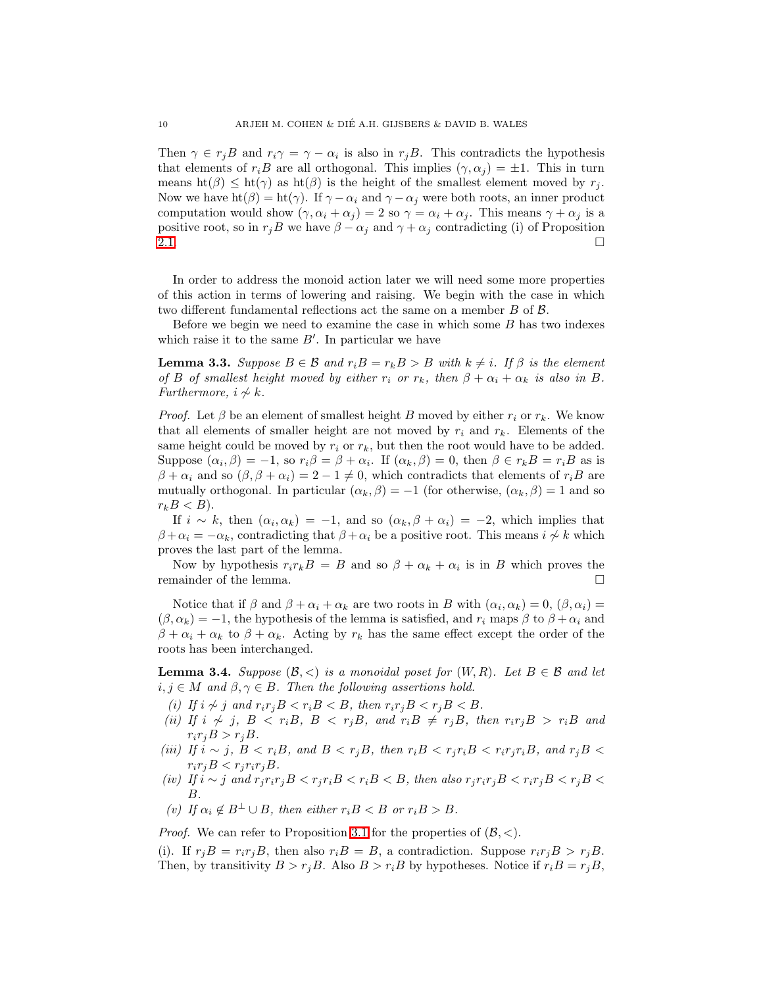Then  $\gamma \in r_j B$  and  $r_i \gamma = \gamma - \alpha_i$  is also in  $r_j B$ . This contradicts the hypothesis that elements of  $r_iB$  are all orthogonal. This implies  $(\gamma, \alpha_j) = \pm 1$ . This in turn means  $ht(\beta) \leq ht(\gamma)$  as  $ht(\beta)$  is the height of the smallest element moved by  $r_i$ . Now we have  $ht(\beta) = ht(\gamma)$ . If  $\gamma - \alpha_i$  and  $\gamma - \alpha_j$  were both roots, an inner product computation would show  $(\gamma, \alpha_i + \alpha_j) = 2$  so  $\gamma = \alpha_i + \alpha_j$ . This means  $\gamma + \alpha_j$  is a positive root, so in  $r_jB$  we have  $\beta - \alpha_j$  and  $\gamma + \alpha_j$  contradicting (i) of Proposition [2.1.](#page-1-0)  $\Box$ 

In order to address the monoid action later we will need some more properties of this action in terms of lowering and raising. We begin with the case in which two different fundamental reflections act the same on a member B of B.

Before we begin we need to examine the case in which some  $B$  has two indexes which raise it to the same  $B'$ . In particular we have

<span id="page-9-0"></span>**Lemma 3.3.** Suppose  $B \in \mathcal{B}$  and  $r_iB = r_kB > B$  with  $k \neq i$ . If  $\beta$  is the element of B of smallest height moved by either  $r_i$  or  $r_k$ , then  $\beta + \alpha_i + \alpha_k$  is also in B. Furthermore,  $i \nsim k$ .

*Proof.* Let  $\beta$  be an element of smallest height B moved by either  $r_i$  or  $r_k$ . We know that all elements of smaller height are not moved by  $r_i$  and  $r_k$ . Elements of the same height could be moved by  $r_i$  or  $r_k$ , but then the root would have to be added. Suppose  $(\alpha_i, \beta) = -1$ , so  $r_i \beta = \beta + \alpha_i$ . If  $(\alpha_k, \beta) = 0$ , then  $\beta \in r_k B = r_i B$  as is  $\beta + \alpha_i$  and so  $(\beta, \beta + \alpha_i) = 2 - 1 \neq 0$ , which contradicts that elements of  $r_iB$  are mutually orthogonal. In particular  $(\alpha_k, \beta) = -1$  (for otherwise,  $(\alpha_k, \beta) = 1$  and so  $r_k B < B$ ).

If  $i \sim k$ , then  $(\alpha_i, \alpha_k) = -1$ , and so  $(\alpha_k, \beta + \alpha_i) = -2$ , which implies that  $\beta + \alpha_i = -\alpha_k$ , contradicting that  $\beta + \alpha_i$  be a positive root. This means  $i \nsim k$  which proves the last part of the lemma.

Now by hypothesis  $r_i r_k B = B$  and so  $\beta + \alpha_k + \alpha_i$  is in B which proves the remainder of the lemma.

Notice that if  $\beta$  and  $\beta + \alpha_i + \alpha_k$  are two roots in B with  $(\alpha_i, \alpha_k) = 0$ ,  $(\beta, \alpha_i) =$  $(\beta, \alpha_k) = -1$ , the hypothesis of the lemma is satisfied, and  $r_i$  maps  $\beta$  to  $\beta + \alpha_i$  and  $\beta + \alpha_i + \alpha_k$  to  $\beta + \alpha_k$ . Acting by  $r_k$  has the same effect except the order of the roots has been interchanged.

<span id="page-9-1"></span>**Lemma 3.4.** Suppose  $(\mathcal{B}, \langle \rangle)$  is a monoidal poset for  $(W, R)$ . Let  $B \in \mathcal{B}$  and let  $i, j \in M$  and  $\beta, \gamma \in B$ . Then the following assertions hold.

- (i) If  $i \nsim j$  and  $r_i r_j B < r_i B < B$ , then  $r_i r_j B < r_j B < B$ .
- (ii) If  $i \nsim j$ ,  $B \nless r_i B$ ,  $B \nless r_j B$ , and  $r_i B \nless r_j B$ , then  $r_i r_j B \nless r_i B$  and  $r_i r_j B > r_j B$ .
- (iii) If  $i \sim j$ ,  $B < r_i B$ , and  $B < r_j B$ , then  $r_i B < r_j r_i B < r_i r_j r_i B$ , and  $r_j B <$  $r_i r_j B < r_j r_i r_j B$ .
- (iv) If  $i \sim j$  and  $r_j r_i r_j B < r_j r_i B < r_i B < B$ , then also  $r_j r_i r_j B < r_i r_j B < r_j B <$ B.
- (v) If  $\alpha_i \notin B^{\perp} \cup B$ , then either  $r_i B < B$  or  $r_i B > B$ .

*Proof.* We can refer to Proposition [3.1](#page-6-0) for the properties of  $(\mathcal{B}, \langle \rangle)$ .

(i). If  $r_iB = r_ir_iB$ , then also  $r_iB = B$ , a contradiction. Suppose  $r_ir_iB > r_iB$ . Then, by transitivity  $B > r<sub>j</sub>B$ . Also  $B > r<sub>i</sub>B$  by hypotheses. Notice if  $r<sub>i</sub>B = r<sub>j</sub>B$ ,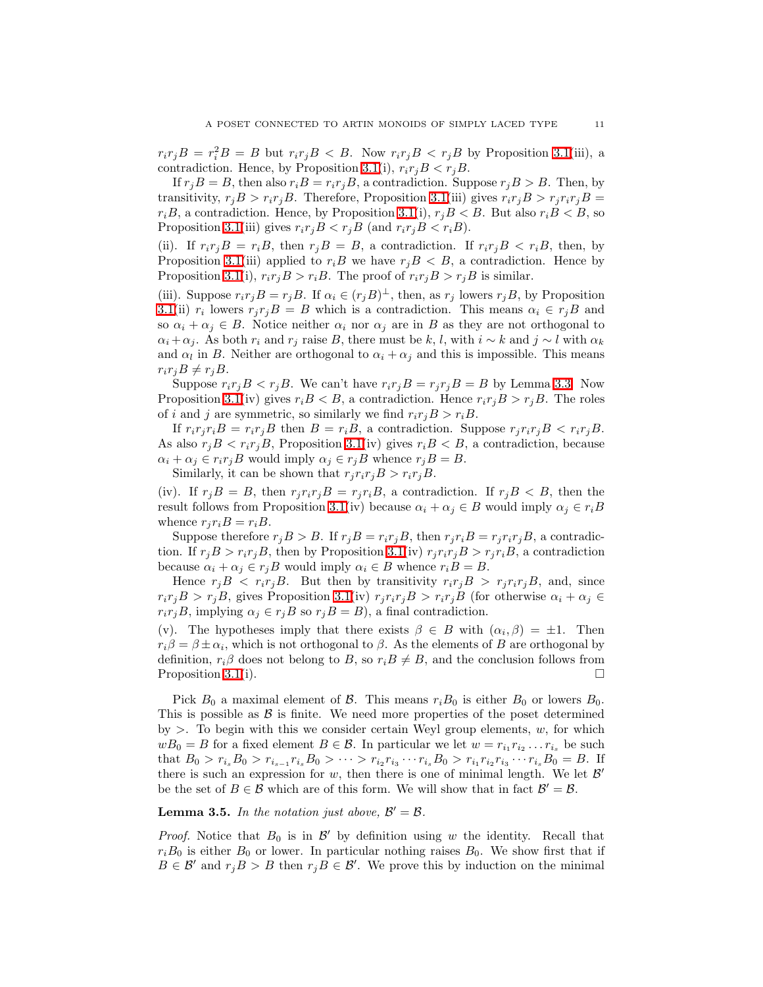$r_i r_j B = r_i^2 B = B$  but  $r_i r_j B < B$ . Now  $r_i r_j B < r_j B$  by Proposition [3.1\(](#page-6-0)iii), a contradiction. Hence, by Proposition [3.1\(](#page-6-0)i),  $r_i r_j B < r_j B$ .

If  $r_iB = B$ , then also  $r_iB = r_ir_iB$ , a contradiction. Suppose  $r_iB > B$ . Then, by transitivity,  $r_j B > r_i r_j B$ . Therefore, Proposition [3.1\(](#page-6-0)iii) gives  $r_i r_j B > r_j r_i r_j B =$  $r_iB$ , a contradiction. Hence, by Proposition [3.1\(](#page-6-0)i),  $r_iB < B$ . But also  $r_iB < B$ , so Proposition [3.1\(](#page-6-0)iii) gives  $r_i r_j B < r_j B$  (and  $r_i r_j B < r_i B$ ).

(ii). If  $r_i r_j B = r_i B$ , then  $r_j B = B$ , a contradiction. If  $r_i r_j B < r_i B$ , then, by Proposition [3.1\(](#page-6-0)iii) applied to  $r_iB$  we have  $r_jB < B$ , a contradiction. Hence by Proposition [3.1\(](#page-6-0)i),  $r_i r_j B > r_i B$ . The proof of  $r_i r_j B > r_j B$  is similar.

(iii). Suppose  $r_i r_j B = r_j B$ . If  $\alpha_i \in (r_j B)^{\perp}$ , then, as  $r_j$  lowers  $r_j B$ , by Proposition [3.1\(](#page-6-0)ii)  $r_i$  lowers  $r_j r_j B = B$  which is a contradiction. This means  $\alpha_i \in r_j B$  and so  $\alpha_i + \alpha_j \in B$ . Notice neither  $\alpha_i$  nor  $\alpha_j$  are in B as they are not orthogonal to  $\alpha_i + \alpha_j$ . As both  $r_i$  and  $r_j$  raise B, there must be k, l, with  $i \sim k$  and  $j \sim l$  with  $\alpha_k$ and  $\alpha_l$  in B. Neither are orthogonal to  $\alpha_i + \alpha_j$  and this is impossible. This means  $r_i r_j B \neq r_j B$ .

Suppose  $r_i r_j B < r_j B$ . We can't have  $r_i r_j B = r_j r_j B = B$  by Lemma [3.3.](#page-9-0) Now Proposition [3.1\(](#page-6-0)iv) gives  $r_iB < B$ , a contradiction. Hence  $r_ir_jB > r_jB$ . The roles of i and j are symmetric, so similarly we find  $r_i r_j B > r_i B$ .

If  $r_i r_j r_i B = r_i r_j B$  then  $B = r_i B$ , a contradiction. Suppose  $r_j r_i r_j B < r_i r_j B$ . As also  $r_jB < r_i r_jB$ , Proposition [3.1\(](#page-6-0)iv) gives  $r_iB < B$ , a contradiction, because  $\alpha_i + \alpha_j \in r_i r_j B$  would imply  $\alpha_j \in r_j B$  whence  $r_j B = B$ .

Similarly, it can be shown that  $r_i r_i r_j B > r_i r_j B$ .

(iv). If  $r_jB = B$ , then  $r_jr_ir_jB = r_jr_iB$ , a contradiction. If  $r_jB < B$ , then the result follows from Proposition [3.1\(](#page-6-0)iv) because  $\alpha_i + \alpha_j \in B$  would imply  $\alpha_j \in r_iB$ whence  $r_i r_i B = r_i B$ .

Suppose therefore  $r_jB > B$ . If  $r_jB = r_ir_jB$ , then  $r_jr_iB = r_jr_ir_jB$ , a contradiction. If  $r_iB > r_i r_jB$ , then by Proposition [3.1\(](#page-6-0)iv)  $r_j r_i r_j B > r_j r_i B$ , a contradiction because  $\alpha_i + \alpha_j \in r_jB$  would imply  $\alpha_i \in B$  whence  $r_iB = B$ .

Hence  $r_iB \leq r_i r_jB$ . But then by transitivity  $r_i r_jB > r_j r_i r_jB$ , and, since  $r_i r_j B > r_j B$ , gives Proposition [3.1\(](#page-6-0)iv)  $r_j r_i r_j B > r_i r_j B$  (for otherwise  $\alpha_i + \alpha_j \in$  $r_i r_j B$ , implying  $\alpha_j \in r_j B$  so  $r_j B = B$ ), a final contradiction.

(v). The hypotheses imply that there exists  $\beta \in B$  with  $(\alpha_i, \beta) = \pm 1$ . Then  $r_i\beta = \beta \pm \alpha_i$ , which is not orthogonal to  $\beta$ . As the elements of B are orthogonal by definition,  $r_i\beta$  does not belong to B, so  $r_iB \neq B$ , and the conclusion follows from Proposition [3.1\(](#page-6-0)i).

Pick  $B_0$  a maximal element of  $\beta$ . This means  $r_iB_0$  is either  $B_0$  or lowers  $B_0$ . This is possible as  $\beta$  is finite. We need more properties of the poset determined by  $>$ . To begin with this we consider certain Weyl group elements,  $w$ , for which  $wB_0 = B$  for a fixed element  $B \in \mathcal{B}$ . In particular we let  $w = r_{i_1} r_{i_2} \dots r_{i_s}$  be such that  $B_0 > r_{i_s}B_0 > r_{i_{s-1}}r_{i_s}B_0 > \cdots > r_{i_2}r_{i_3}\cdots r_{i_s}B_0 > r_{i_1}r_{i_2}r_{i_3}\cdots r_{i_s}B_0 = B$ . If there is such an expression for w, then there is one of minimal length. We let  $\mathcal{B}'$ be the set of  $B \in \mathcal{B}$  which are of this form. We will show that in fact  $\mathcal{B}' = \mathcal{B}$ .

# **Lemma 3.5.** In the notation just above,  $\mathcal{B}' = \mathcal{B}$ .

*Proof.* Notice that  $B_0$  is in  $\mathcal{B}'$  by definition using w the identity. Recall that  $r_iB_0$  is either  $B_0$  or lower. In particular nothing raises  $B_0$ . We show first that if  $B \in \mathcal{B}'$  and  $r_j B > B$  then  $r_j B \in \mathcal{B}'$ . We prove this by induction on the minimal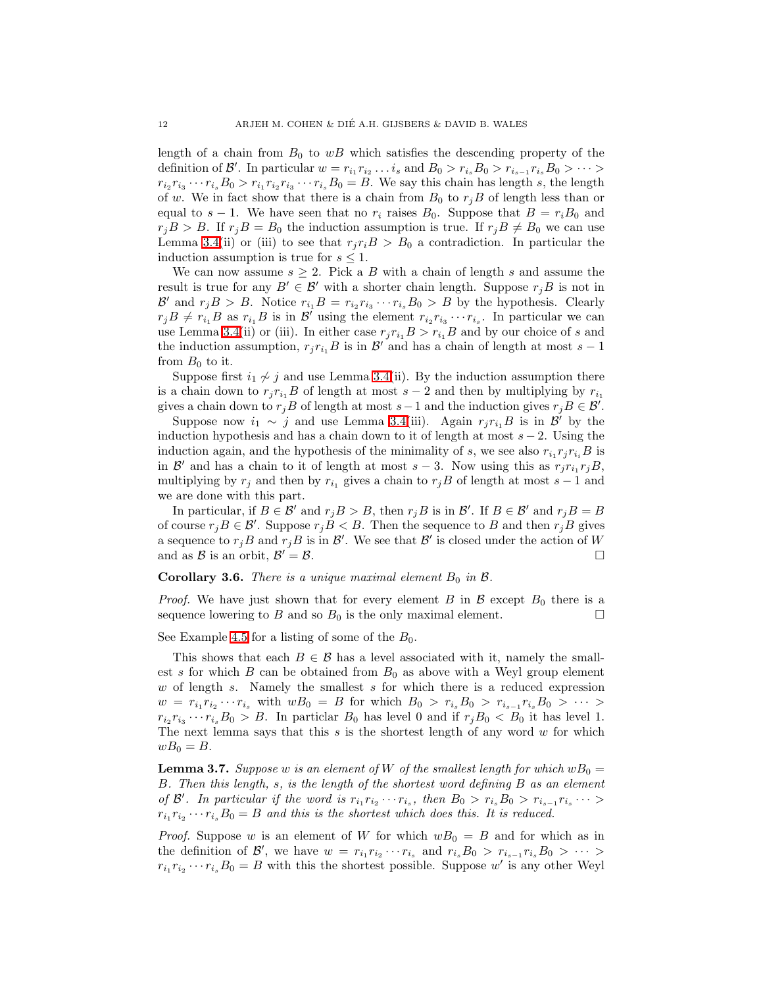length of a chain from  $B_0$  to  $wB$  which satisfies the descending property of the definition of  $\mathcal{B}'$ . In particular  $w = r_{i_1} r_{i_2} \ldots i_s$  and  $B_0 > r_{i_s} B_0 > r_{i_{s-1}} r_{i_s} B_0 > \cdots$  $r_{i_2}r_{i_3}\cdots r_{i_s}B_0 > r_{i_1}r_{i_2}r_{i_3}\cdots r_{i_s}B_0 = B$ . We say this chain has length s, the length of w. We in fact show that there is a chain from  $B_0$  to  $r_jB$  of length less than or equal to  $s - 1$ . We have seen that no  $r_i$  raises  $B_0$ . Suppose that  $B = r_i B_0$  and  $r_jB > B$ . If  $r_jB = B_0$  the induction assumption is true. If  $r_jB \neq B_0$  we can use Lemma [3.4\(](#page-9-1)ii) or (iii) to see that  $r_j r_i B > B_0$  a contradiction. In particular the induction assumption is true for  $s \leq 1$ .

We can now assume  $s \geq 2$ . Pick a B with a chain of length s and assume the result is true for any  $B' \in \mathcal{B}'$  with a shorter chain length. Suppose  $r_jB$  is not in  $\mathcal{B}'$  and  $r_j B > B$ . Notice  $r_{i_1} B = r_{i_2} r_{i_3} \cdots r_{i_s} B_0 > B$  by the hypothesis. Clearly  $r_jB \neq r_{i_1}B$  as  $r_{i_1}B$  is in  $\mathcal{B}'$  using the element  $r_{i_2}r_{i_3}\cdots r_{i_s}$ . In particular we can use Lemma [3.4\(](#page-9-1)ii) or (iii). In either case  $r_i r_{i1} B > r_{i1} B$  and by our choice of s and the induction assumption,  $r_j r_{i_1} B$  is in  $\mathcal{B}'$  and has a chain of length at most  $s - 1$ from  $B_0$  to it.

Suppose first  $i_1 \nsim j$  and use Lemma [3.4\(](#page-9-1)ii). By the induction assumption there is a chain down to  $r_j r_{i_1} B$  of length at most  $s - 2$  and then by multiplying by  $r_{i_1}$ gives a chain down to  $r_jB$  of length at most  $s-1$  and the induction gives  $r_jB \in \mathcal{B}'$ .

Suppose now  $i_1 \sim j$  and use Lemma [3.4\(](#page-9-1)iii). Again  $r_j r_{i_1} B$  is in  $\mathcal{B}'$  by the induction hypothesis and has a chain down to it of length at most  $s - 2$ . Using the induction again, and the hypothesis of the minimality of s, we see also  $r_{i_1}r_jr_{i_i}B$  is in B' and has a chain to it of length at most  $s-3$ . Now using this as  $r_j r_{i_1} r_j B$ , multiplying by  $r_i$  and then by  $r_{i_1}$  gives a chain to  $r_iB$  of length at most  $s - 1$  and we are done with this part.

In particular, if  $B \in \mathcal{B}'$  and  $r_j B > B$ , then  $r_j B$  is in  $\mathcal{B}'$ . If  $B \in \mathcal{B}'$  and  $r_j B = B$ of course  $r_jB \in \mathcal{B}'$ . Suppose  $r_jB < B$ . Then the sequence to B and then  $r_jB$  gives a sequence to  $r_jB$  and  $r_jB$  is in  $\mathcal{B}'$ . We see that  $\mathcal{B}'$  is closed under the action of W and as  $\mathcal{B}$  is an orbit,  $\mathcal{B}' = \mathcal{B}$ .  $\mathcal{L} = \mathcal{B}.$ 

### <span id="page-11-0"></span>**Corollary 3.6.** There is a unique maximal element  $B_0$  in  $\beta$ .

*Proof.* We have just shown that for every element B in B except  $B_0$  there is a sequence lowering to B and so  $B_0$  is the only maximal element.

See Example [4.5](#page-17-0) for a listing of some of the  $B_0$ .

This shows that each  $B \in \mathcal{B}$  has a level associated with it, namely the smallest s for which  $B$  can be obtained from  $B_0$  as above with a Weyl group element  $w$  of length s. Namely the smallest s for which there is a reduced expression  $w = r_{i_1} r_{i_2} \cdots r_{i_s}$  with  $wB_0 = B$  for which  $B_0 > r_{i_s}B_0 > r_{i_{s-1}}r_{i_s}B_0 > \cdots >$  $r_{i_2}r_{i_3}\cdots r_{i_s}B_0 > B$ . In particlar  $B_0$  has level 0 and if  $r_jB_0 < B_0$  it has level 1. The next lemma says that this  $s$  is the shortest length of any word  $w$  for which  $wB_0 = B.$ 

<span id="page-11-1"></span>**Lemma 3.7.** Suppose w is an element of W of the smallest length for which  $wB_0 =$ B. Then this length, s, is the length of the shortest word defining B as an element of B'. In particular if the word is  $r_{i_1}r_{i_2}\cdots r_{i_s}$ , then  $B_0 > r_{i_s}B_0 > r_{i_{s-1}}r_{i_s}\cdots >$  $r_{i_1}r_{i_2}\cdots r_{i_s}B_0 = B$  and this is the shortest which does this. It is reduced.

*Proof.* Suppose w is an element of W for which  $wB_0 = B$  and for which as in the definition of B', we have  $w = r_{i_1}r_{i_2}\cdots r_{i_s}$  and  $r_{i_s}B_0 > r_{i_{s-1}}r_{i_s}B_0 > \cdots$  $r_{i_1}r_{i_2}\cdots r_{i_s}B_0 = B$  with this the shortest possible. Suppose w' is any other Weyl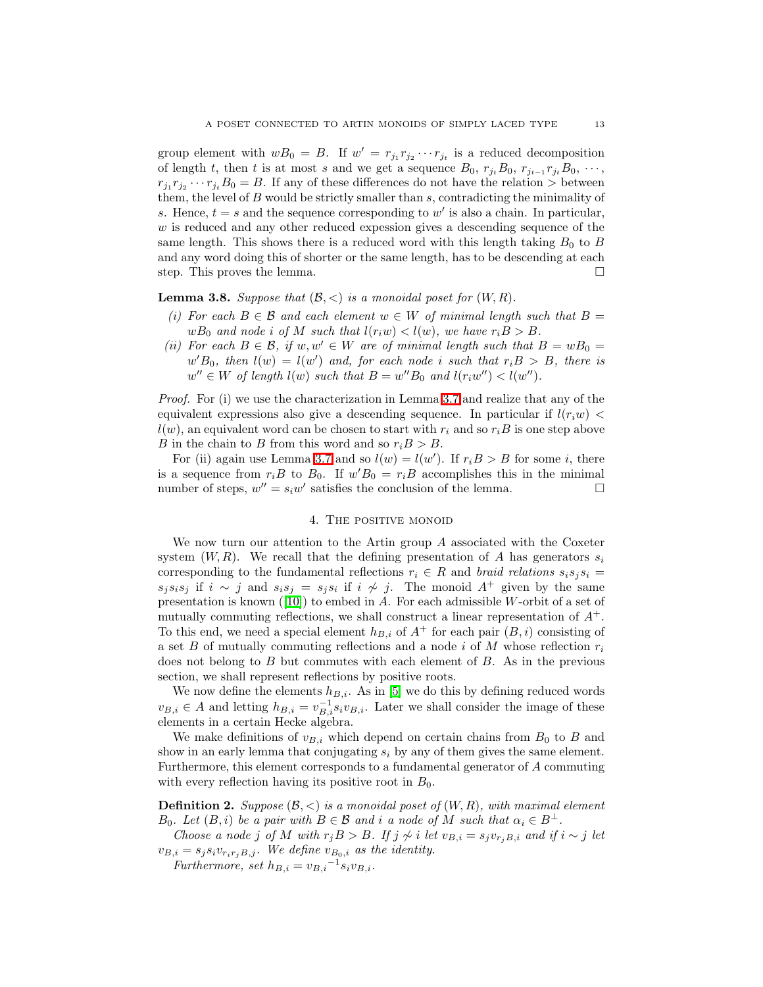group element with  $wB_0 = B$ . If  $w' = r_{j_1}r_{j_2}\cdots r_{j_t}$  is a reduced decomposition of length t, then t is at most s and we get a sequence  $B_0$ ,  $r_{j_t}B_0$ ,  $r_{j_{t-1}}r_{j_t}B_0$ ,  $\cdots$ ,  $r_{j_1}r_{j_2}\cdots r_{j_t}B_0 = B$ . If any of these differences do not have the relation  $\gt$  between them, the level of  $B$  would be strictly smaller than  $s$ , contradicting the minimality of s. Hence,  $t = s$  and the sequence corresponding to  $w'$  is also a chain. In particular, w is reduced and any other reduced expession gives a descending sequence of the same length. This shows there is a reduced word with this length taking  $B_0$  to B and any word doing this of shorter or the same length, has to be descending at each step. This proves the lemma.

**Lemma 3.8.** Suppose that  $(\mathcal{B}, \langle \rangle)$  is a monoidal poset for  $(W, R)$ .

- (i) For each  $B \in \mathcal{B}$  and each element  $w \in W$  of minimal length such that  $B =$  $wB_0$  and node i of M such that  $l(r_iw) < l(w)$ , we have  $r_iB > B$ .
- (ii) For each  $B \in \mathcal{B}$ , if  $w, w' \in W$  are of minimal length such that  $B = wB_0 =$  $w'B_0$ , then  $l(w) = l(w')$  and, for each node i such that  $r_i B > B$ , there is  $w'' \in W$  of length  $l(w)$  such that  $B = w''B_0$  and  $l(r_iw'') < l(w'')$ .

Proof. For (i) we use the characterization in Lemma [3.7](#page-11-1) and realize that any of the equivalent expressions also give a descending sequence. In particular if  $l(r_iw)$  <  $l(w)$ , an equivalent word can be chosen to start with  $r_i$  and so  $r_iB$  is one step above B in the chain to B from this word and so  $r_iB > B$ .

For (ii) again use Lemma [3.7](#page-11-1) and so  $l(w) = l(w')$ . If  $r_i B > B$  for some i, there is a sequence from  $r_i B$  to  $B_0$ . If  $w' B_0 = r_i B$  accomplishes this in the minimal number of steps,  $w'' = s_i w'$  satisfies the conclusion of the lemma.

### 4. The positive monoid

We now turn our attention to the Artin group  $A$  associated with the Coxeter system  $(W, R)$ . We recall that the defining presentation of A has generators  $s_i$ corresponding to the fundamental reflections  $r_i \in R$  and braid relations  $s_i s_j s_i =$  $s_j s_i s_j$  if  $i \sim j$  and  $s_i s_j = s_j s_i$  if  $i \not\sim j$ . The monoid  $A^+$  given by the same presentation is known  $([10])$  $([10])$  $([10])$  to embed in A. For each admissible W-orbit of a set of mutually commuting reflections, we shall construct a linear representation of  $A^+$ . To this end, we need a special element  $h_{B,i}$  of  $A^+$  for each pair  $(B, i)$  consisting of a set B of mutually commuting reflections and a node i of M whose reflection  $r_i$ does not belong to  $B$  but commutes with each element of  $B$ . As in the previous section, we shall represent reflections by positive roots.

We now define the elements  $h_{B,i}$ . As in [\[5\]](#page-21-0) we do this by defining reduced words  $v_{B,i} \in A$  and letting  $h_{B,i} = v_{B,i}^{-1} s_i v_{B,i}$ . Later we shall consider the image of these elements in a certain Hecke algebra.

We make definitions of  $v_{B,i}$  which depend on certain chains from  $B_0$  to B and show in an early lemma that conjugating  $s_i$  by any of them gives the same element. Furthermore, this element corresponds to a fundamental generator of A commuting with every reflection having its positive root in  $B_0$ .

<span id="page-12-0"></span>**Definition 2.** Suppose  $(\mathcal{B}, \langle \rangle)$  is a monoidal poset of  $(W, R)$ , with maximal element  $B_0$ . Let  $(B, i)$  be a pair with  $B \in \mathcal{B}$  and i a node of M such that  $\alpha_i \in B^{\perp}$ .

Choose a node j of M with  $r_jB > B$ . If  $j \nless i$  let  $v_{B,i} = s_jv_{r_jB,i}$  and if  $i \sim j$  let  $v_{B,i} = s_j s_i v_{r_i r_j B,j}.$  We define  $v_{B_0,i}$  as the identity.

Furthermore, set  $h_{B,i} = v_{B,i}^{-1} s_i v_{B,i}$ .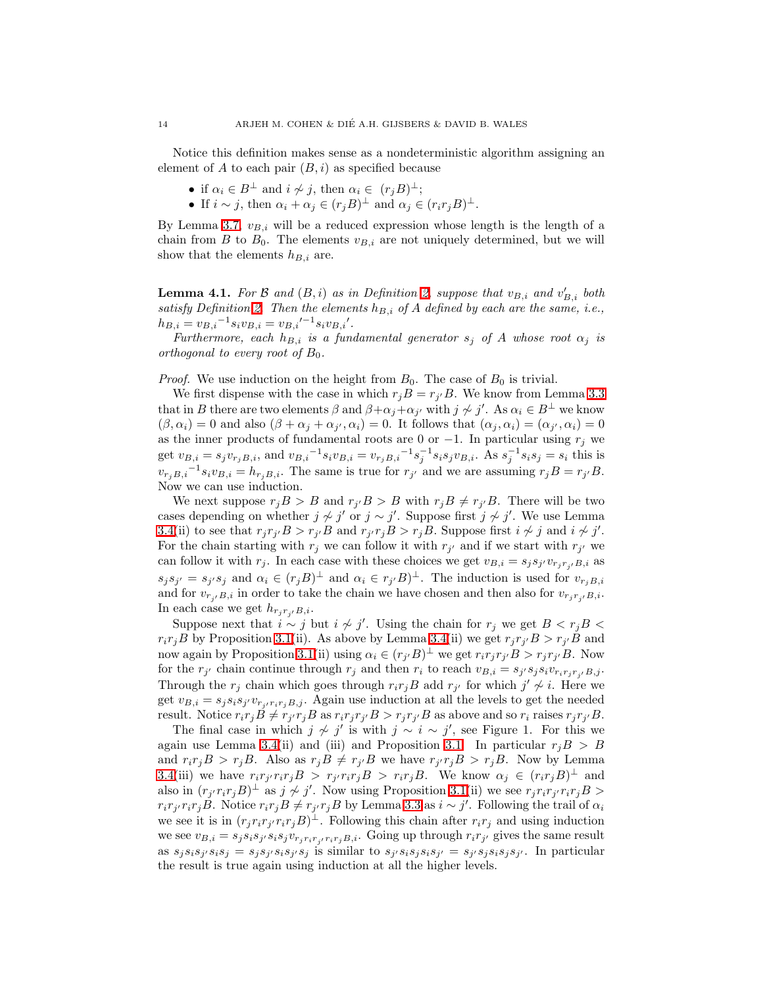Notice this definition makes sense as a nondeterministic algorithm assigning an element of A to each pair  $(B, i)$  as specified because

- if  $\alpha_i \in B^{\perp}$  and  $i \not\sim j$ , then  $\alpha_i \in (r_jB)^{\perp}$ ;
- If  $i \sim j$ , then  $\alpha_i + \alpha_j \in (r_j B)^{\perp}$  and  $\alpha_j \in (r_i r_j B)^{\perp}$ .

By Lemma [3.7,](#page-11-1)  $v_{B,i}$  will be a reduced expression whose length is the length of a chain from B to  $B_0$ . The elements  $v_{B,i}$  are not uniquely determined, but we will show that the elements  $h_{B,i}$  are.

<span id="page-13-0"></span>**Lemma 4.1.** For B and  $(B, i)$  as in Definition [2,](#page-12-0) suppose that  $v_{B,i}$  and  $v'_{B,i}$  both satisfy Definition [2.](#page-12-0) Then the elements  $h_{B,i}$  of A defined by each are the same, i.e.,  $h_{B,i} = v_{B,i}^{-1} s_i v_{B,i} = v_{B,i}^{\prime -1} s_i v_{B,i}^{\prime}.$ 

Furthermore, each  $h_{B,i}$  is a fundamental generator  $s_j$  of A whose root  $\alpha_j$  is orthogonal to every root of  $B_0$ .

*Proof.* We use induction on the height from  $B_0$ . The case of  $B_0$  is trivial.

We first dispense with the case in which  $r_j B = r_{j'} B$ . We know from Lemma [3.3](#page-9-0) that in B there are two elements  $\beta$  and  $\beta + \alpha_j + \alpha_{j'}$  with  $j \nsim j'$ . As  $\alpha_i \in B^{\perp}$  we know  $(\beta, \alpha_i) = 0$  and also  $(\beta + \alpha_j + \alpha_{j'}, \alpha_i) = 0$ . It follows that  $(\alpha_j, \alpha_i) = (\alpha_{j'}, \alpha_i) = 0$ as the inner products of fundamental roots are 0 or  $-1$ . In particular using  $r_i$  we get  $v_{B,i} = s_j v_{r_j B,i}$ , and  $v_{B,i}^{-1} s_i v_{B,i} = v_{r_j B,i}^{-1} s_j^{-1} s_i s_j v_{B,i}$ . As  $s_j^{-1} s_i s_j = s_i$  this is  $v_{r_jB,i}^{-1} s_i v_{B,i} = h_{r_jB,i}$ . The same is true for  $r_{j'}$  and we are assuming  $r_jB = r_{j'}B$ . Now we can use induction.

We next suppose  $r_j B > B$  and  $r_{j'} B > B$  with  $r_j B \neq r_{j'} B$ . There will be two cases depending on whether  $j \not\sim j'$  or  $j \sim j'$ . Suppose first  $j \not\sim j'$ . We use Lemma [3.4\(](#page-9-1)ii) to see that  $r_j r_{j'} B > r_{j'} B$  and  $r_{j'} r_j B > r_j B$ . Suppose first  $i \not\sim j$  and  $i \not\sim j'$ . For the chain starting with  $r_j$  we can follow it with  $r_{j'}$  and if we start with  $r_{j'}$  we can follow it with  $r_j$ . In each case with these choices we get  $v_{B,i} = s_j s_{j'} v_{r_j r_{j'} B,i}$  as  $s_j s_{j'} = s_{j'} s_j$  and  $\alpha_i \in (r_j B)^{\perp}$  and  $\alpha_i \in r_{j'} B)^{\perp}$ . The induction is used for  $v_{r_j B, i'}$ and for  $v_{r_i/B,i}$  in order to take the chain we have chosen and then also for  $v_{r_i r_{i'}B,i}$ . In each case we get  $h_{r_j r_{i'} B, i}$ .

Suppose next that  $i \sim j$  but  $i \not\sim j'$ . Using the chain for  $r_j$  we get  $B < r_j B <$  $r_i r_j B$  by Proposition [3.1\(](#page-6-0)ii). As above by Lemma [3.4\(](#page-9-1)ii) we get  $r_j r_{j'} B > r_{j'} B$  and now again by Proposition [3.1\(](#page-6-0)ii) using  $\alpha_i \in (r_{j'}B)^{\perp}$  we get  $r_ir_jr_{j'}B > r_jr_{j'}B$ . Now for the  $r_{j'}$  chain continue through  $r_j$  and then  $r_i$  to reach  $v_{B,i} = s_{j'} s_j s_i v_{r_i r_j r_{j'}} b_{j} j$ . Through the  $r_j$  chain which goes through  $r_i r_j B$  add  $r_{j'}$  for which  $j' \nsim i$ . Here we get  $v_{B,i} = s_j s_i s_{j'} v_{r_{j'}r_i r_j B,j}$ . Again use induction at all the levels to get the needed result. Notice  $r_i r_j B \neq r_{j'} r_j B$  as  $r_i r_j r_{j'} B > r_j r_{j'} B$  as above and so  $r_i$  raises  $r_j r_{j'} B$ .

The final case in which  $j \nsim j'$  is with  $j \sim i \sim j'$ , see Figure 1. For this we again use Lemma [3.4\(](#page-9-1)ii) and (iii) and Proposition [3.1.](#page-6-0) In particular  $r_j B > B$ and  $r_i r_j B > r_j B$ . Also as  $r_j B \neq r_{j'} B$  we have  $r_{j'} r_j B > r_j B$ . Now by Lemma [3.4\(](#page-9-1)iii) we have  $r_i r_{j'} r_i r_j B > r_{j'} r_i r_j B > r_i r_j B$ . We know  $\alpha_j \in (r_i r_j B)^{\perp}$  and also in  $(r_{j'}r_ir_jB)^{\perp}$  as  $j \nsim j'$ . Now using Proposition [3.1\(](#page-6-0)ii) we see  $r_jr_ir_j'r_ir_jB >$  $r_i r_{j'} r_i r_j B$ . Notice  $r_i r_j B \neq r_{j'} r_j B$  by Lemma [3.3](#page-9-0) as  $i \sim j'$ . Following the trail of  $\alpha_i$ we see it is in  $(r_j r_i r_j r_j B)^{\perp}$ . Following this chain after  $r_i r_j$  and using induction we see  $v_{B,i} = s_j s_i s_j s_i s_j v_{r_j r_i r_{j'} r_i r_j B,i}$ . Going up through  $r_i r_{j'}$  gives the same result as  $s_j s_i s_j s_j = s_j s_{j'} s_i s_{j'} s_j$  is similar to  $s_{j'} s_i s_j s_i s_{j'} = s_{j'} s_j s_i s_j s_{j'}$ . In particular the result is true again using induction at all the higher levels.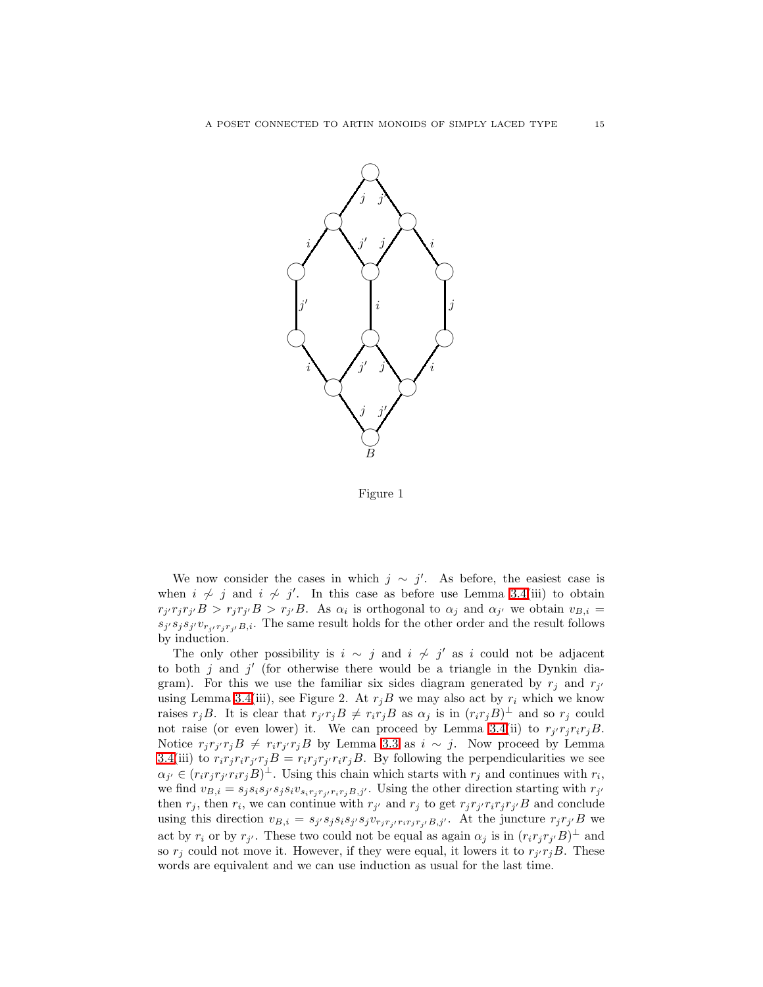

Figure 1

We now consider the cases in which  $j \sim j'$ . As before, the easiest case is when  $i \nsim j$  and  $i \nsim j'$ . In this case as before use Lemma [3.4\(](#page-9-1)iii) to obtain  $r_{j'}r_jr_{j'}B > r_jr_{j'}B > r_{j'}B$ . As  $\alpha_i$  is orthogonal to  $\alpha_j$  and  $\alpha_{j'}$  we obtain  $v_{B,i} =$  $s_j s_j s_{j'} v_{r_{j'} r_j r_{j'}} B_{j}$ . The same result holds for the other order and the result follows by induction.

The only other possibility is  $i \sim j$  and  $i \not\sim j'$  as i could not be adjacent to both  $j$  and  $j'$  (for otherwise there would be a triangle in the Dynkin diagram). For this we use the familiar six sides diagram generated by  $r_j$  and  $r_{j'}$ using Lemma [3.4\(](#page-9-1)iii), see Figure 2. At  $r_jB$  we may also act by  $r_i$  which we know raises  $r_jB$ . It is clear that  $r_{j'}r_jB \neq r_ir_jB$  as  $\alpha_j$  is in  $(r_ir_jB)^{\perp}$  and so  $r_j$  could not raise (or even lower) it. We can proceed by Lemma [3.4\(](#page-9-1)ii) to  $r_{j'}r_jr_ir_jB$ . Notice  $r_j r_{j'} r_j B \neq r_i r_{j'} r_j B$  by Lemma [3.3](#page-9-0) as  $i \sim j$ . Now proceed by Lemma [3.4\(](#page-9-1)iii) to  $r_i r_j r_i r_{j'} r_j B = r_i r_j r_{j'} r_i r_j B$ . By following the perpendicularities we see  $\alpha_{j'} \in (r_i r_j r_{j'} r_i r_j B)^{\perp}$ . Using this chain which starts with  $r_j$  and continues with  $r_i$ , we find  $v_{B,i} = s_j s_i s_{j'} s_j s_i v_{s_i r_j r_{j'} r_i r_j B, j'}$ . Using the other direction starting with  $r_{j'}$ then  $r_j$ , then  $r_i$ , we can continue with  $r_{j'}$  and  $r_j$  to get  $r_j r_{j'} r_i r_j r_{j'} B$  and conclude using this direction  $v_{B,i} = s_{j'} s_j s_i s_{j'} s_j v_{r_j r_{i'} r_i r_j r_{j'}} s_j y'$ . At the juncture  $r_j r_{j'} B$  we act by  $r_i$  or by  $r_{j'}$ . These two could not be equal as again  $\alpha_j$  is in  $(r_i r_j r_{j'} B)^{\perp}$  and so  $r_j$  could not move it. However, if they were equal, it lowers it to  $r_{j'}r_jB$ . These words are equivalent and we can use induction as usual for the last time.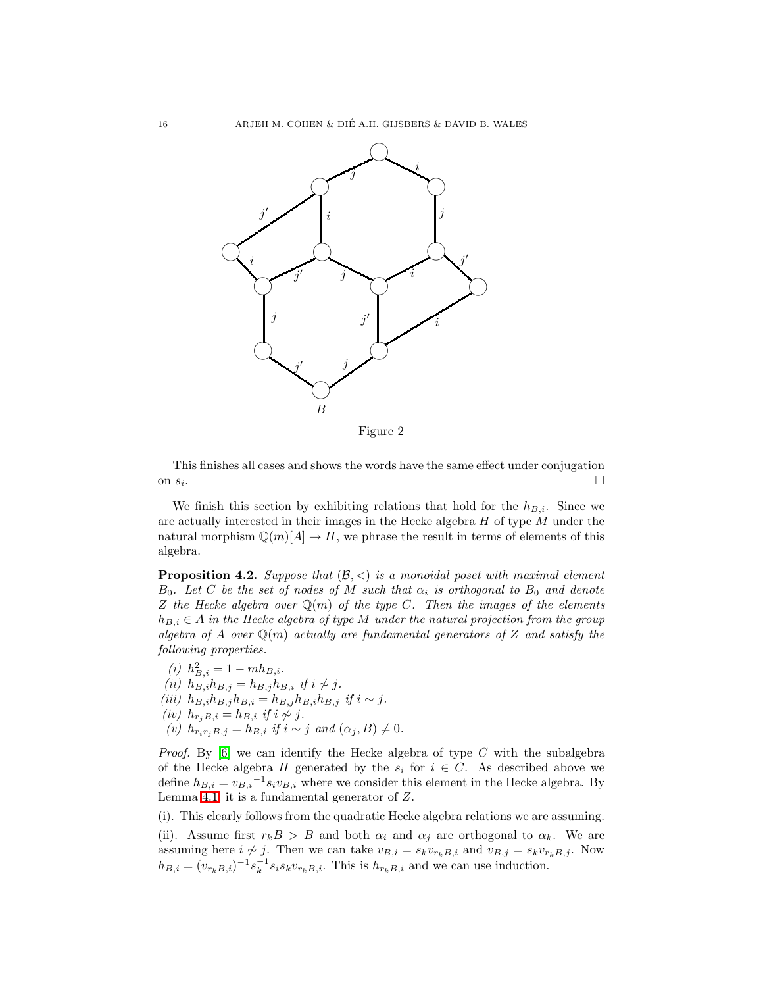

This finishes all cases and shows the words have the same effect under conjugation on  $s_i$ . .

We finish this section by exhibiting relations that hold for the  $h_{B,i}$ . Since we are actually interested in their images in the Hecke algebra  $H$  of type  $M$  under the natural morphism  $\mathbb{Q}(m)[A] \to H$ , we phrase the result in terms of elements of this algebra.

<span id="page-15-0"></span>**Proposition 4.2.** Suppose that  $(\mathcal{B}, \leq)$  is a monoidal poset with maximal element  $B_0$ . Let C be the set of nodes of M such that  $\alpha_i$  is orthogonal to  $B_0$  and denote Z the Hecke algebra over  $\mathbb{Q}(m)$  of the type C. Then the images of the elements  $h_{B,i} \in A$  in the Hecke algebra of type M under the natural projection from the group algebra of A over  $\mathbb{Q}(m)$  actually are fundamental generators of Z and satisfy the following properties.

(*i*)  $h_{B,i}^2 = 1 - mh_{B,i}.$ (ii)  $h_{B,i}^{(i)} h_{B,j} = h_{B,j} h_{B,i}$  if  $i \nsim j$ . (iii)  $h_{B,i}h_{B,j}h_{B,i} = h_{B,j}h_{B,i}h_{B,j}$  if  $i \sim j$ . (iv)  $h_{r_iB,i} = h_{B,i}$  if  $i \nsim j$ . (v)  $h_{r_ir_jB,j} = h_{B,i}$  if  $i \sim j$  and  $(\alpha_j, B) \neq 0$ .

*Proof.* By  $[6]$  we can identify the Hecke algebra of type C with the subalgebra of the Hecke algebra H generated by the  $s_i$  for  $i \in C$ . As described above we define  $h_{B,i} = v_{B,i}^{-1} s_i v_{B,i}$  where we consider this element in the Hecke algebra. By Lemma [4.1,](#page-13-0) it is a fundamental generator of Z.

(i). This clearly follows from the quadratic Hecke algebra relations we are assuming.

(ii). Assume first  $r_k B > B$  and both  $\alpha_i$  and  $\alpha_j$  are orthogonal to  $\alpha_k$ . We are assuming here  $i \nsim j$ . Then we can take  $v_{B,i} = s_k v_{r_k B,i}$  and  $v_{B,j} = s_k v_{r_k B,j}$ . Now  $h_{B,i} = (v_{r_kB,i})^{-1} s_k^{-1} s_i s_k v_{r_kB,i}.$  This is  $h_{r_kB,i}$  and we can use induction.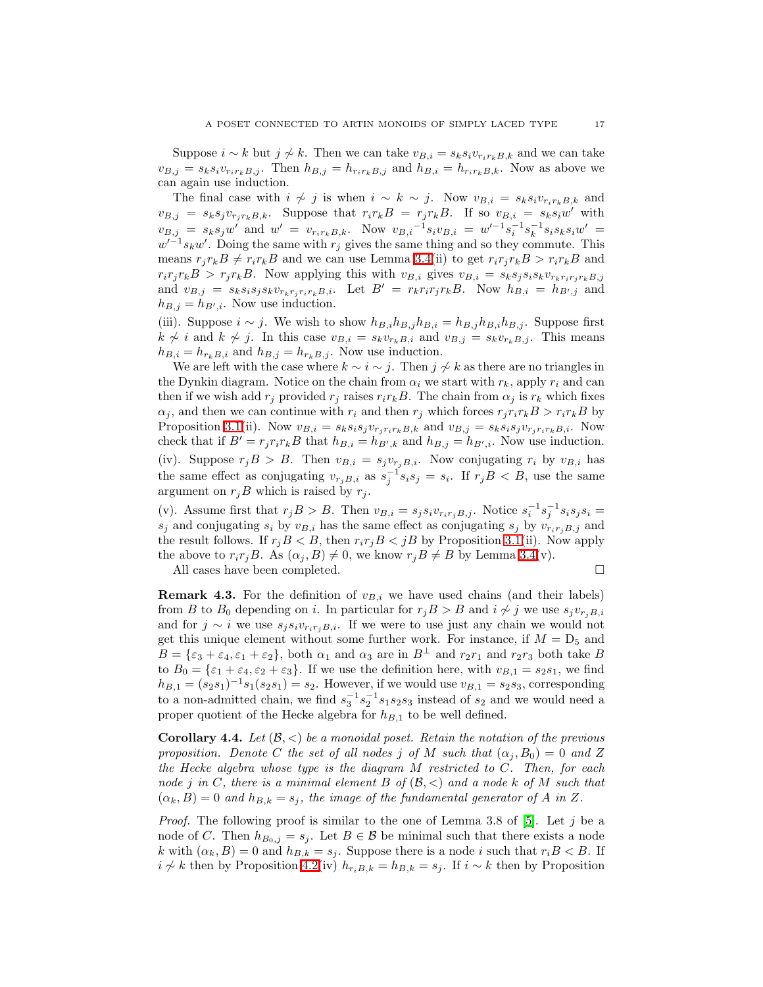Suppose  $i \sim k$  but  $j \not\sim k$ . Then we can take  $v_{B,i} = s_k s_i v_{r_i r_k B,k}$  and we can take  $v_{B,j} = s_k s_i v_{r_i r_k B,j}$ . Then  $h_{B,j} = h_{r_i r_k B,j}$  and  $h_{B,i} = h_{r_i r_k B,k}$ . Now as above we can again use induction.

The final case with  $i \nsim j$  is when  $i \sim k \sim j$ . Now  $v_{B,i} = s_k s_i v_{r_i r_k B,k}$  and  $v_{B,j} = s_k s_j v_{r_j r_k B, k}$ . Suppose that  $r_i r_k B = r_j r_k B$ . If so  $v_{B,i} = s_k s_i w'$  with  $v_{B,j} = s_k s_j w'$  and  $w' = v_{r_i r_k B,k}$ . Now  $v_{B,i}^{-1} s_i v_{B,i} = w'^{-1} s_i^{-1} s_k^{-1} s_i s_k s_i w' =$  $w^{-1}s_kw'$ . Doing the same with  $r_j$  gives the same thing and so they commute. This means  $r_j r_k B \neq r_i r_k B$  and we can use Lemma [3.4\(](#page-9-1)ii) to get  $r_i r_j r_k B > r_i r_k B$  and  $r_i r_j r_k B > r_j r_k B$ . Now applying this with  $v_{B,i}$  gives  $v_{B,i} = s_k s_j s_i s_k v_{r_k r_i r_j r_k B,j}$ and  $v_{B,j} = s_k s_i s_j s_k v_{r_k r_j r_i r_k B,i}$ . Let  $B' = r_k r_i r_j r_k B$ . Now  $h_{B,i} = h_{B',j}$  and  $h_{B,j} = h_{B',i}$ . Now use induction.

(iii). Suppose  $i \sim j$ . We wish to show  $h_{B,i}h_{B,j}h_{B,i} = h_{B,j}h_{B,i}h_{B,j}$ . Suppose first  $k \nsim i$  and  $k \nsim j$ . In this case  $v_{B,i} = s_k v_{r_k} B_{i}$  and  $v_{B,j} = s_k v_{r_k} B_{i,j}$ . This means  $h_{B,i} = h_{r_kB,i}$  and  $h_{B,j} = h_{r_kB,j}$ . Now use induction.

We are left with the case where  $k \sim i \sim j$ . Then  $j \not\sim k$  as there are no triangles in the Dynkin diagram. Notice on the chain from  $\alpha_i$  we start with  $r_k$ , apply  $r_i$  and can then if we wish add  $r_j$  provided  $r_j$  raises  $r_i r_k B$ . The chain from  $\alpha_j$  is  $r_k$  which fixes  $\alpha_j$ , and then we can continue with  $r_i$  and then  $r_j$  which forces  $r_j r_i r_k B > r_i r_k B$  by Proposition [3.1\(](#page-6-0)ii). Now  $v_{B,i} = s_k s_i s_j v_{r_j r_i r_k B,k}$  and  $v_{B,j} = s_k s_i s_j v_{r_j r_i r_k B,i}$ . Now check that if  $B' = r_j r_i r_k B$  that  $h_{B,i} = h_{B',k}$  and  $h_{B,j} = h_{B',i}$ . Now use induction. (iv). Suppose  $r_jB > B$ . Then  $v_{B,i} = s_jv_{r_jB,i}$ . Now conjugating  $r_i$  by  $v_{B,i}$  has the same effect as conjugating  $v_{r_jB,i}$  as  $s_j^{-1}s_is_j = s_i$ . If  $r_jB < B$ , use the same argument on  $r_jB$  which is raised by  $r_j$ .

(v). Assume first that  $r_j B > B$ . Then  $v_{B,i} = s_j s_i v_{r_i r_j B,j}$ . Notice  $s_i^{-1} s_j^{-1} s_i s_j s_i =$  $s_i$  and conjugating  $s_i$  by  $v_{B,i}$  has the same effect as conjugating  $s_j$  by  $v_{r_i r_j B, j}$  and the result follows. If  $r_jB < B$ , then  $r_ir_jB < jB$  by Proposition [3.1\(](#page-6-0)ii). Now apply the above to  $r_i r_j B$ . As  $(\alpha_j, B) \neq 0$ , we know  $r_j B \neq B$  by Lemma [3.4\(](#page-9-1)v).

All cases have been completed.  $\hfill \square$ 

**Remark 4.3.** For the definition of  $v_{B,i}$  we have used chains (and their labels) from B to B<sub>0</sub> depending on i. In particular for  $r_jB > B$  and  $i \nsim j$  we use  $s_jv_{r_iB,i}$ and for  $j \sim i$  we use  $s_j s_i v_{r_i r_i B_i i}$ . If we were to use just any chain we would not get this unique element without some further work. For instance, if  $M = D_5$  and  $B = {\varepsilon_3 + \varepsilon_4, \varepsilon_1 + \varepsilon_2}$ , both  $\alpha_1$  and  $\alpha_3$  are in  $B^{\perp}$  and  $r_2r_1$  and  $r_2r_3$  both take B to  $B_0 = {\varepsilon_1 + \varepsilon_4, \varepsilon_2 + \varepsilon_3}$ . If we use the definition here, with  $v_{B,1} = s_2s_1$ , we find  $h_{B,1} = (s_2 s_1)^{-1} s_1 (s_2 s_1) = s_2$ . However, if we would use  $v_{B,1} = s_2 s_3$ , corresponding to a non-admitted chain, we find  $s_3^{-1} s_2^{-1} s_1 s_2 s_3$  instead of  $s_2$  and we would need a proper quotient of the Hecke algebra for  $h_{B,1}$  to be well defined.

<span id="page-16-0"></span>**Corollary 4.4.** Let  $(\mathcal{B}, \leq)$  be a monoidal poset. Retain the notation of the previous proposition. Denote C the set of all nodes j of M such that  $(\alpha_i, B_0) = 0$  and Z the Hecke algebra whose type is the diagram M restricted to C. Then, for each node j in C, there is a minimal element B of  $(\mathcal{B}, \langle \rangle)$  and a node k of M such that  $(\alpha_k, B) = 0$  and  $h_{B,k} = s_j$ , the image of the fundamental generator of A in Z.

*Proof.* The following proof is similar to the one of Lemma 3.8 of [\[5\]](#page-21-0). Let j be a node of C. Then  $h_{B_0,j} = s_j$ . Let  $B \in \mathcal{B}$  be minimal such that there exists a node k with  $(\alpha_k, B) = 0$  and  $h_{B,k} = s_i$ . Suppose there is a node i such that  $r_i B < B$ . If *i*  $\neq$  *k* then by Proposition [4.2\(](#page-15-0)iv)  $h_{r_iB,k} = h_{B,k} = s_j$ . If *i* ∼ *k* then by Proposition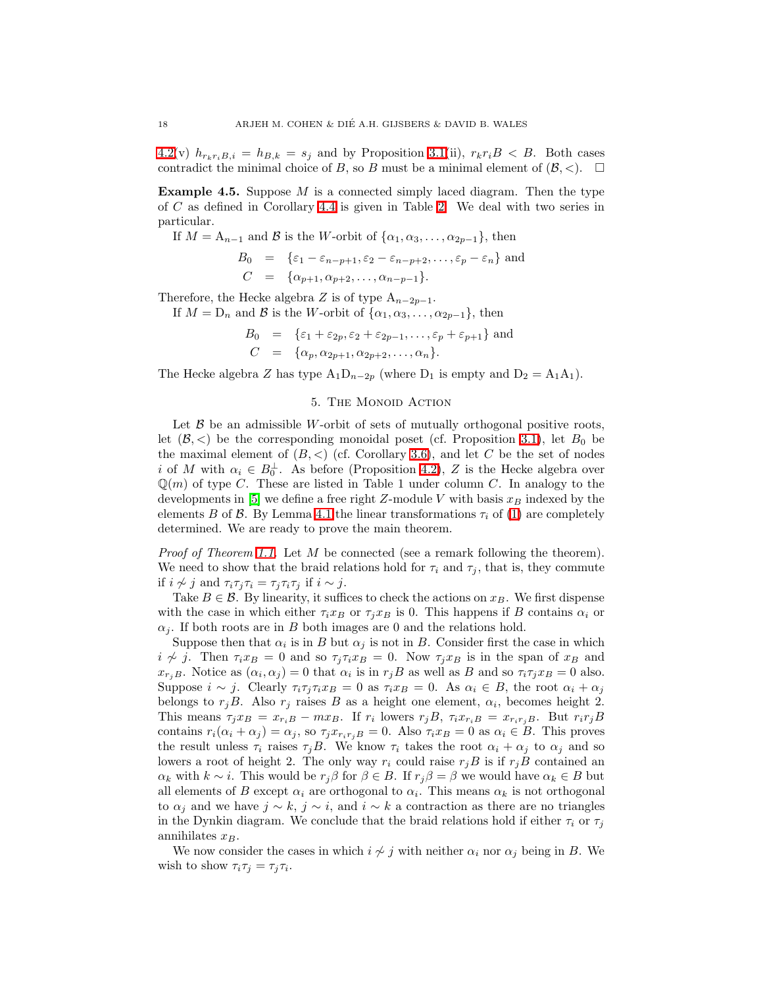$4.2(v)$  $4.2(v)$   $h_{r_kr_iB,i} = h_{B,k} = s_j$  and by Proposition [3.1\(](#page-6-0)ii),  $r_kr_iB < B$ . Both cases contradict the minimal choice of B, so B must be a minimal element of  $(\mathcal{B}, \langle)$ .

<span id="page-17-0"></span>**Example 4.5.** Suppose  $M$  is a connected simply laced diagram. Then the type of C as defined in Corollary [4.4](#page-16-0) is given in Table [2.](#page-5-0) We deal with two series in particular.

If  $M = A_{n-1}$  and B is the W-orbit of  $\{\alpha_1, \alpha_3, \dots, \alpha_{2p-1}\}\,$ , then

$$
B_0 = \{ \varepsilon_1 - \varepsilon_{n-p+1}, \varepsilon_2 - \varepsilon_{n-p+2}, \dots, \varepsilon_p - \varepsilon_n \}
$$
 and  

$$
C = \{ \alpha_{p+1}, \alpha_{p+2}, \dots, \alpha_{n-p-1} \}.
$$

Therefore, the Hecke algebra Z is of type  $A_{n-2p-1}$ .

If  $M = D_n$  and B is the W-orbit of  $\{\alpha_1, \alpha_3, \dots, \alpha_{2p-1}\},\$  then

$$
B_0 = \{ \varepsilon_1 + \varepsilon_{2p}, \varepsilon_2 + \varepsilon_{2p-1}, \dots, \varepsilon_p + \varepsilon_{p+1} \}
$$
 and  

$$
C = \{ \alpha_p, \alpha_{2p+1}, \alpha_{2p+2}, \dots, \alpha_n \}.
$$

The Hecke algebra Z has type  $A_1D_{n-2p}$  (where  $D_1$  is empty and  $D_2 = A_1A_1$ ).

## 5. The Monoid Action

Let  $\beta$  be an admissible W-orbit of sets of mutually orthogonal positive roots, let  $(\mathcal{B}, <)$  be the corresponding monoidal poset (cf. Proposition [3.1\)](#page-6-0), let  $B_0$  be the maximal element of  $(B, <)$  (cf. Corollary [3.6\)](#page-11-0), and let C be the set of nodes i of M with  $\alpha_i \in B_0^{\perp}$ . As before (Proposition [4.2\)](#page-15-0), Z is the Hecke algebra over  $\mathbb{Q}(m)$  of type C. These are listed in Table 1 under column C. In analogy to the developments in [\[5\]](#page-21-0) we define a free right Z-module V with basis  $x_B$  indexed by the elements B of B. By Lemma [4.1](#page-13-0) the linear transformations  $\tau_i$  of [\(1\)](#page-1-1) are completely determined. We are ready to prove the main theorem.

Proof of Theorem [1.1.](#page-1-2) Let M be connected (see a remark following the theorem). We need to show that the braid relations hold for  $\tau_i$  and  $\tau_j$ , that is, they commute if  $i \nsim j$  and  $\tau_i \tau_j \tau_i = \tau_j \tau_i \tau_j$  if  $i \sim j$ .

Take  $B \in \mathcal{B}$ . By linearity, it suffices to check the actions on  $x_B$ . We first dispense with the case in which either  $\tau_i x_B$  or  $\tau_j x_B$  is 0. This happens if B contains  $\alpha_i$  or  $\alpha_i$ . If both roots are in B both images are 0 and the relations hold.

Suppose then that  $\alpha_i$  is in B but  $\alpha_j$  is not in B. Consider first the case in which  $i \nsim j$ . Then  $\tau_i x_B = 0$  and so  $\tau_j \tau_i x_B = 0$ . Now  $\tau_j x_B$  is in the span of  $x_B$  and  $x_{r_jB}$ . Notice as  $(\alpha_i, \alpha_j) = 0$  that  $\alpha_i$  is in  $r_jB$  as well as B and so  $\tau_i\tau_jx_B = 0$  also. Suppose  $i \sim j$ . Clearly  $\tau_i \tau_j \tau_i x_B = 0$  as  $\tau_i x_B = 0$ . As  $\alpha_i \in B$ , the root  $\alpha_i + \alpha_j$ belongs to  $r_jB$ . Also  $r_j$  raises B as a height one element,  $\alpha_i$ , becomes height 2. This means  $\tau_j x_B = x_{r_iB} - mx_B$ . If  $r_i$  lowers  $r_j B$ ,  $\tau_i x_{r_iB} = x_{r_i r_jB}$ . But  $r_i r_j B$ contains  $r_i(\alpha_i + \alpha_j) = \alpha_j$ , so  $\tau_j x_{r_i r_j B} = 0$ . Also  $\tau_i x_B = 0$  as  $\alpha_i \in B$ . This proves the result unless  $\tau_i$  raises  $\tau_j B$ . We know  $\tau_i$  takes the root  $\alpha_i + \alpha_j$  to  $\alpha_j$  and so lowers a root of height 2. The only way  $r_i$  could raise  $r_jB$  is if  $r_jB$  contained an  $\alpha_k$  with  $k \sim i$ . This would be  $r_j \beta$  for  $\beta \in B$ . If  $r_j \beta = \beta$  we would have  $\alpha_k \in B$  but all elements of B except  $\alpha_i$  are orthogonal to  $\alpha_i$ . This means  $\alpha_k$  is not orthogonal to  $\alpha_j$  and we have  $j \sim k$ ,  $j \sim i$ , and  $i \sim k$  a contraction as there are no triangles in the Dynkin diagram. We conclude that the braid relations hold if either  $\tau_i$  or  $\tau_j$ annihilates  $x_B$ .

We now consider the cases in which  $i \nsim j$  with neither  $\alpha_i$  nor  $\alpha_j$  being in B. We wish to show  $\tau_i \tau_j = \tau_j \tau_i$ .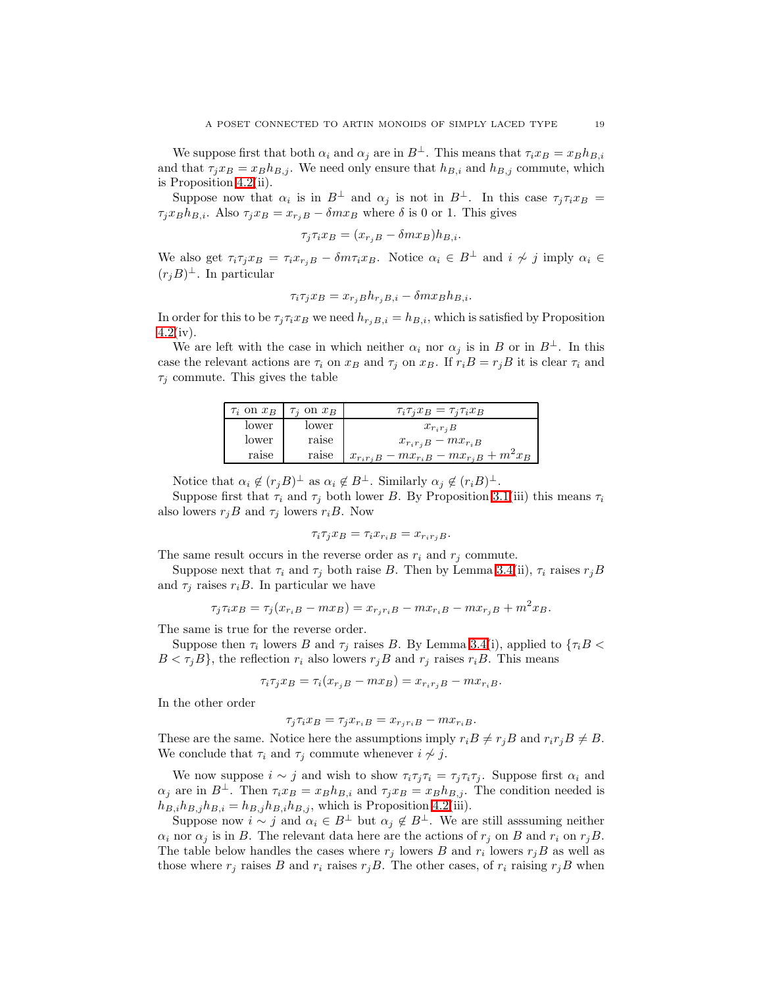We suppose first that both  $\alpha_i$  and  $\alpha_j$  are in  $B^{\perp}$ . This means that  $\tau_i x_B = x_B h_{B,i}$ and that  $\tau_j x_B = x_B h_{B,j}$ . We need only ensure that  $h_{B,i}$  and  $h_{B,j}$  commute, which is Proposition [4.2\(](#page-15-0)ii).

Suppose now that  $\alpha_i$  is in  $B^{\perp}$  and  $\alpha_j$  is not in  $B^{\perp}$ . In this case  $\tau_j \tau_i x_B =$  $\tau_i x_B h_{B,i}$ . Also  $\tau_j x_B = x_{r_jB} - \delta m x_B$  where  $\delta$  is 0 or 1. This gives

$$
\tau_j \tau_i x_B = (x_{r_j B} - \delta m x_B) h_{B,i}.
$$

We also get  $\tau_i \tau_j x_B = \tau_i x_{r_i B} - \delta m \tau_i x_B$ . Notice  $\alpha_i \in B^{\perp}$  and  $i \nsim j$  imply  $\alpha_i \in B$  $(r_jB)^{\perp}$ . In particular

$$
\tau_i \tau_j x_B = x_{r_j B} h_{r_j B, i} - \delta m x_B h_{B, i}.
$$

In order for this to be  $\tau_j \tau_i x_B$  we need  $h_{r_iB,i} = h_{B,i}$ , which is satisfied by Proposition  $4.2(iv).$  $4.2(iv).$ 

We are left with the case in which neither  $\alpha_i$  nor  $\alpha_j$  is in B or in B<sup>⊥</sup>. In this case the relevant actions are  $\tau_i$  on  $x_B$  and  $\tau_j$  on  $x_B$ . If  $r_iB = r_jB$  it is clear  $\tau_i$  and  $\tau_i$  commute. This gives the table

| $\tau_i$ on $x_B$ | $\tau_i$ on $x_B$ | $\tau_i \tau_j x_B = \tau_j \tau_i x_B$               |
|-------------------|-------------------|-------------------------------------------------------|
| lower             | lower             | $x_{r_i r_i B}$                                       |
| lower             | raise             | $x_{r_i r_j} B - m x_{r_i B}$                         |
| raise             | raise             | $x_{r_i r_j B} - m x_{r_i B} - m x_{r_i B} + m^2 x_B$ |

Notice that  $\alpha_i \notin (r_j B)^{\perp}$  as  $\alpha_i \notin B^{\perp}$ . Similarly  $\alpha_j \notin (r_i B)^{\perp}$ .

Suppose first that  $\tau_i$  and  $\tau_j$  both lower B. By Proposition [3.1\(](#page-6-0)iii) this means  $\tau_i$ also lowers  $r_iB$  and  $\tau_i$  lowers  $r_iB$ . Now

$$
\tau_i \tau_j x_B = \tau_i x_{r_i B} = x_{r_i r_j B}.
$$

The same result occurs in the reverse order as  $r_i$  and  $r_j$  commute.

Suppose next that  $\tau_i$  and  $\tau_j$  both raise B. Then by Lemma [3.4\(](#page-9-1)ii),  $\tau_i$  raises  $r_jB$ and  $\tau_i$  raises  $r_iB$ . In particular we have

$$
\tau_j \tau_i x_B = \tau_j (x_{r_i B} - m x_B) = x_{r_j r_i B} - m x_{r_i B} - m x_{r_j B} + m^2 x_B.
$$

The same is true for the reverse order.

Suppose then  $\tau_i$  lowers B and  $\tau_j$  raises B. By Lemma [3.4\(](#page-9-1)i), applied to  $\{\tau_i B \leq \tau_i B\}$  $B < \tau_i B$ , the reflection  $r_i$  also lowers  $r_i B$  and  $r_j$  raises  $r_i B$ . This means

$$
\tau_i \tau_j x_B = \tau_i (x_{r_j B} - m x_B) = x_{r_i r_j B} - m x_{r_i B}.
$$

In the other order

$$
\tau_j \tau_i x_B = \tau_j x_{r_i B} = x_{r_j r_i B} - m x_{r_i B}.
$$

These are the same. Notice here the assumptions imply  $r_iB \neq r_jB$  and  $r_ir_jB \neq B$ . We conclude that  $\tau_i$  and  $\tau_j$  commute whenever  $i \not\sim j$ .

We now suppose  $i \sim j$  and wish to show  $\tau_i \tau_j \tau_i = \tau_j \tau_i \tau_j$ . Suppose first  $\alpha_i$  and  $\alpha_i$  are in  $B^{\perp}$ . Then  $\tau_i x_B = x_B h_{B,i}$  and  $\tau_i x_B = x_B h_{B,i}$ . The condition needed is  $h_{B,i}h_{B,j}h_{B,i} = h_{B,j}h_{B,i}h_{B,j}$ , which is Proposition [4.2\(](#page-15-0)iii).

Suppose now  $i \sim j$  and  $\alpha_i \in B^{\perp}$  but  $\alpha_j \notin B^{\perp}$ . We are still asssuming neither  $\alpha_i$  nor  $\alpha_j$  is in B. The relevant data here are the actions of  $r_j$  on B and  $r_i$  on  $r_jB$ . The table below handles the cases where  $r_j$  lowers B and  $r_i$  lowers  $r_jB$  as well as those where  $r_j$  raises B and  $r_i$  raises  $r_jB$ . The other cases, of  $r_i$  raising  $r_jB$  when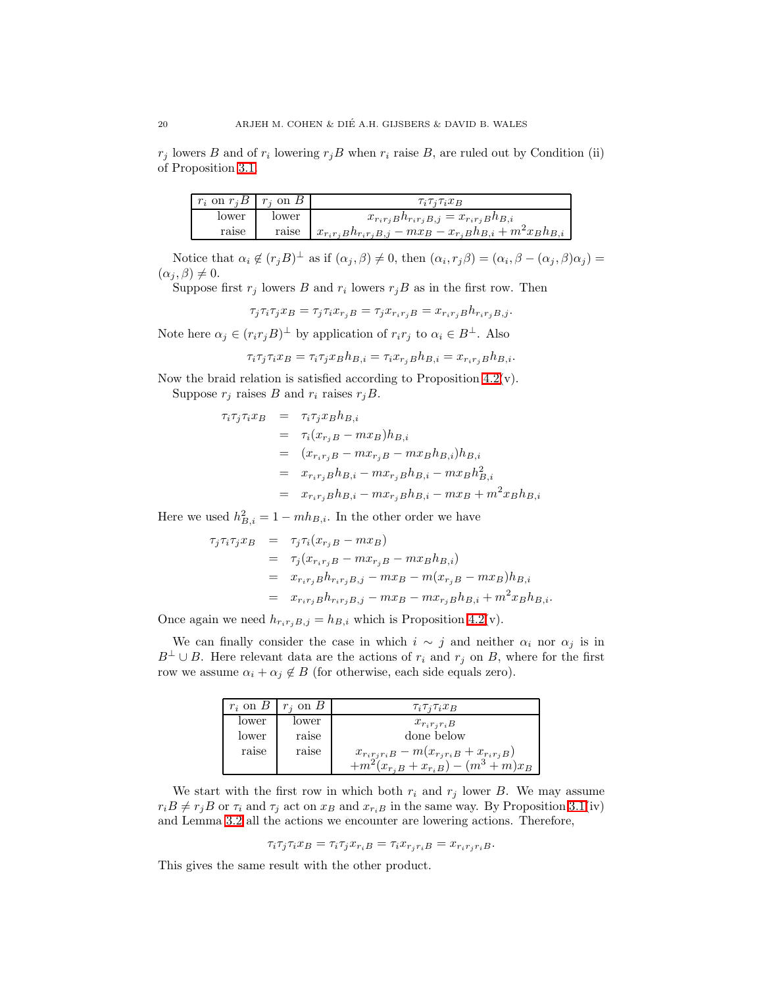$r_j$  lowers B and of  $r_i$  lowering  $r_jB$  when  $r_i$  raise B, are ruled out by Condition (ii) of Proposition [3.1.](#page-6-0)

| $r_i$ on $r_i B \mid r_i$ on B |       | $\tau_i \tau_j \tau_i x_B$                                                        |
|--------------------------------|-------|-----------------------------------------------------------------------------------|
| lower                          | lower | $x_{r_i r_j} B h_{r_i r_j} B_{,j} = x_{r_i r_j} B h_{B,i}$                        |
| raise                          | raise | $x_{r_i r_j} B h_{r_i r_j} B_{i,j} - m x_B - x_{r_j} B h_{B,i} + m^2 x_B h_{B,i}$ |

Notice that  $\alpha_i \notin (r_j B)^{\perp}$  as if  $(\alpha_j, \beta) \neq 0$ , then  $(\alpha_i, r_j \beta) = (\alpha_i, \beta - (\alpha_j, \beta)\alpha_j) =$  $(\alpha_j, \beta) \neq 0.$ 

Suppose first  $r_j$  lowers B and  $r_i$  lowers  $r_jB$  as in the first row. Then

$$
\tau_j \tau_i \tau_j x_B = \tau_j \tau_i x_{r_j B} = \tau_j x_{r_i r_j B} = x_{r_i r_j B} h_{r_i r_j B, j}.
$$

Note here  $\alpha_j \in (r_i r_j B)^{\perp}$  by application of  $r_i r_j$  to  $\alpha_i \in B^{\perp}$ . Also

$$
\tau_i \tau_j \tau_i x_B = \tau_i \tau_j x_B h_{B,i} = \tau_i x_{r_j} h_{B,i} = x_{r_i r_j} h_{B,i}.
$$

Now the braid relation is satisfied according to Proposition  $4.2(v)$ .

Suppose  $r_j$  raises B and  $r_i$  raises  $r_jB$ .

$$
\tau_i \tau_j \tau_i x_B = \tau_i \tau_j x_B h_{B,i}
$$
  
\n
$$
= \tau_i (x_{r_j B} - m x_B) h_{B,i}
$$
  
\n
$$
= (x_{r_i r_j B} - m x_{r_j B} - m x_B h_{B,i}) h_{B,i}
$$
  
\n
$$
= x_{r_i r_j B} h_{B,i} - m x_{r_j B} h_{B,i} - m x_B h_{B,i}^2
$$
  
\n
$$
= x_{r_i r_j B} h_{B,i} - m x_{r_j B} h_{B,i} - m x_B + m^2 x_B h_{B,i}
$$

Here we used  $h_{B,i}^2 = 1 - mh_{B,i}$ . In the other order we have

$$
\tau_j \tau_i \tau_j x_B = \tau_j \tau_i (x_{r_j B} - m x_B)
$$
  
=  $\tau_j (x_{r_i r_j B} - m x_{r_j B} - m x_B h_{B,i})$   
=  $x_{r_i r_j B} h_{r_i r_j B,j} - m x_B - m (x_{r_j B} - m x_B) h_{B,i}$   
=  $x_{r_i r_j B} h_{r_i r_j B,j} - m x_B - m x_{r_j B} h_{B,i} + m^2 x_B h_{B,i}.$ 

Once again we need  $h_{r_i r_j B,j} = h_{B,i}$  which is Proposition [4.2\(](#page-15-0)v).

We can finally consider the case in which  $i \sim j$  and neither  $\alpha_i$  nor  $\alpha_j$  is in  $B^{\perp} \cup B$ . Here relevant data are the actions of  $r_i$  and  $r_j$  on B, where for the first row we assume  $\alpha_i + \alpha_j \notin B$  (for otherwise, each side equals zero).

| $r_i$ on $B$ | $r_i$ on B | $\tau_i \tau_j \tau_i x_B$                             |
|--------------|------------|--------------------------------------------------------|
| lower        | lower      | $x_{r_i r_i B}$                                        |
| lower        | raise      | done below                                             |
| raise        | raise      | $x_{r_i r_j r_i B} - m(x_{r_i r_i B} + x_{r_i r_j B})$ |
|              |            | $+m^2(x_{r_iB}+x_{r_iB})-(m^3+m)x_B$                   |

We start with the first row in which both  $r_i$  and  $r_j$  lower B. We may assume  $r_iB \neq r_jB$  or  $\tau_i$  and  $\tau_j$  act on  $x_B$  and  $x_{r_iB}$  in the same way. By Proposition [3.1\(](#page-6-0)iv) and Lemma [3.2](#page-8-0) all the actions we encounter are lowering actions. Therefore,

$$
\tau_i \tau_j \tau_i x_B = \tau_i \tau_j x_{r_i B} = \tau_i x_{r_j r_i B} = x_{r_i r_j r_i B}.
$$

This gives the same result with the other product.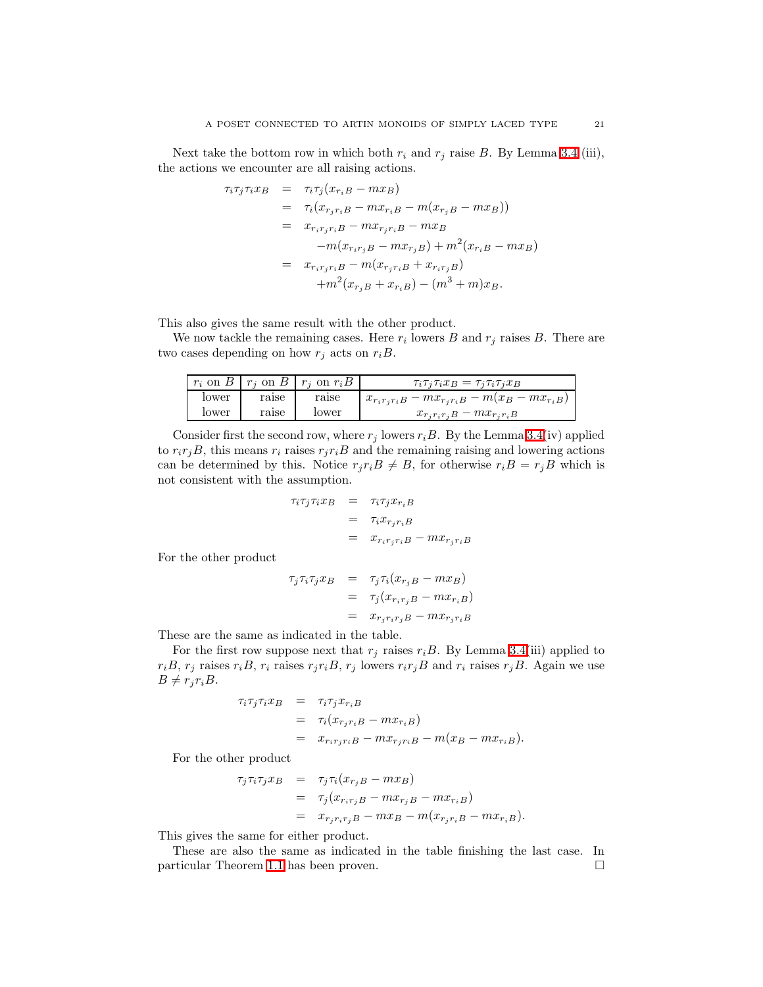Next take the bottom row in which both  $r_i$  and  $r_j$  raise B. By Lemma [3.4](#page-9-1) (iii), the actions we encounter are all raising actions.

$$
\tau_i \tau_j \tau_i x_B = \tau_i \tau_j (x_{r_iB} - mx_B)
$$
  
\n
$$
= \tau_i (x_{r_jr_iB} - mx_{r_iB} - m(x_{r_jB} - mx_B))
$$
  
\n
$$
= x_{r_ir_jr_iB} - mx_{r_jr_iB} - mx_B
$$
  
\n
$$
-m(x_{r_ir_jB} - mx_{r_jB}) + m^2(x_{r_iB} - mx_B)
$$
  
\n
$$
= x_{r_ir_jr_iB} - m(x_{r_jr_iB} + x_{r_ir_jB})
$$
  
\n
$$
+ m^2(x_{r_jB} + x_{r_iB}) - (m^3 + m)x_B.
$$

This also gives the same result with the other product.

We now tackle the remaining cases. Here  $r_i$  lowers  $B$  and  $r_j$  raises  $B$ . There are two cases depending on how  $r_j$  acts on  $r_iB$ .

|       |       | $r_i$ on $B \mid r_i$ on $B \mid r_i$ on $r_i B \mid r_i$ | $\tau_i \tau_j \tau_i x_B = \tau_j \tau_i \tau_j x_B$         |
|-------|-------|-----------------------------------------------------------|---------------------------------------------------------------|
| lower | raise | raise                                                     | $x_{r_i r_j r_i B} - m x_{r_j r_i B} - m (x_B - m x_{r_i B})$ |
| lower | raise | lower                                                     | $x_{r_i r_i r_j} B - mx_{r_i r_i B}$                          |

Consider first the second row, where  $r_j$  lowers  $r_iB$ . By the Lemma [3.4\(](#page-9-1)iv) applied to  $r_i r_j B$ , this means  $r_i$  raises  $r_j r_i B$  and the remaining raising and lowering actions can be determined by this. Notice  $r_j r_i B \neq B$ , for otherwise  $r_i B = r_j B$  which is not consistent with the assumption.

$$
\tau_i \tau_j \tau_i x_B = \tau_i \tau_j x_{r_i B}
$$
  
= 
$$
\tau_i x_{r_j r_i B}
$$
  
= 
$$
x_{r_i r_j r_i B} - m x_{r_j r_i B}
$$

For the other product

$$
\tau_j \tau_i \tau_j x_B = \tau_j \tau_i (x_{r_j B} - m x_B)
$$
  
= 
$$
\tau_j (x_{r_i r_j B} - m x_{r_i B})
$$
  
= 
$$
x_{r_j r_i r_j B} - m x_{r_j r_i B}
$$

These are the same as indicated in the table.

For the first row suppose next that  $r_j$  raises  $r_iB$ . By Lemma [3.4\(](#page-9-1)iii) applied to  $r_iB$ ,  $r_j$  raises  $r_iB$ ,  $r_i$  raises  $r_jr_iB$ ,  $r_j$  lowers  $r_ir_jB$  and  $r_i$  raises  $r_jB$ . Again we use  $B \neq r_i r_i B$ .

$$
\tau_i \tau_j \tau_i x_B = \tau_i \tau_j x_{r_i B}
$$
  
= 
$$
\tau_i (x_{r_j r_i B} - m x_{r_i B})
$$
  
= 
$$
x_{r_i r_j r_i B} - m x_{r_j r_i B} - m (x_B - m x_{r_i B}).
$$

For the other product

$$
\tau_j \tau_i \tau_j x_B = \tau_j \tau_i (x_{r_j B} - m x_B)
$$
  
= 
$$
\tau_j (x_{r_i r_j B} - m x_{r_j B} - m x_{r_i B})
$$
  
= 
$$
x_{r_j r_i r_j B} - m x_B - m (x_{r_j r_i B} - m x_{r_i B}).
$$

This gives the same for either product.

These are also the same as indicated in the table finishing the last case. In particular Theorem [1.1](#page-1-2) has been proven.